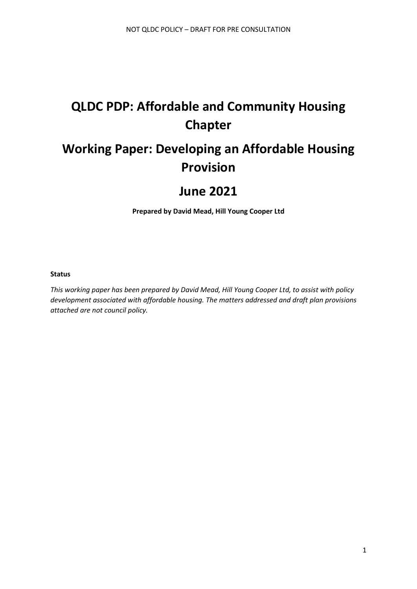# **QLDC PDP: Affordable and Community Housing Chapter**

# **Working Paper: Developing an Affordable Housing Provision**

## **June 2021**

**Prepared by David Mead, Hill Young Cooper Ltd**

#### **Status**

*This working paper has been prepared by David Mead, Hill Young Cooper Ltd, to assist with policy development associated with affordable housing. The matters addressed and draft plan provisions attached are not council policy.*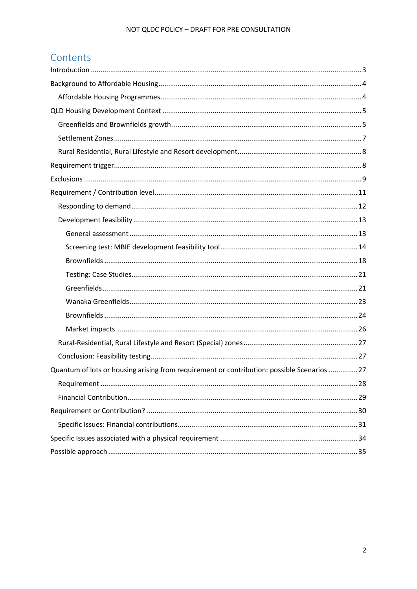## Contents

| Quantum of lots or housing arising from requirement or contribution: possible Scenarios 27 |
|--------------------------------------------------------------------------------------------|
|                                                                                            |
|                                                                                            |
|                                                                                            |
|                                                                                            |
|                                                                                            |
|                                                                                            |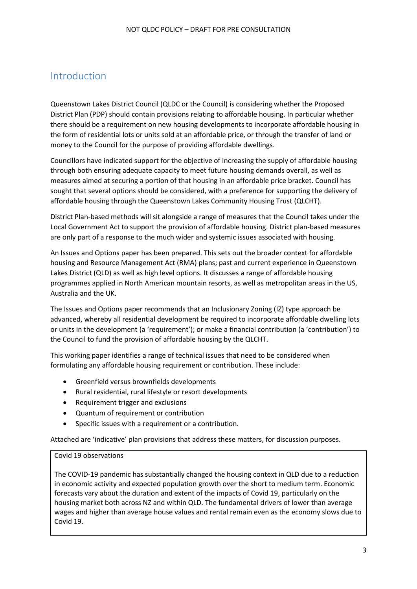## <span id="page-2-0"></span>Introduction

Queenstown Lakes District Council (QLDC or the Council) is considering whether the Proposed District Plan (PDP) should contain provisions relating to affordable housing. In particular whether there should be a requirement on new housing developments to incorporate affordable housing in the form of residential lots or units sold at an affordable price, or through the transfer of land or money to the Council for the purpose of providing affordable dwellings.

Councillors have indicated support for the objective of increasing the supply of affordable housing through both ensuring adequate capacity to meet future housing demands overall, as well as measures aimed at securing a portion of that housing in an affordable price bracket. Council has sought that several options should be considered, with a preference for supporting the delivery of affordable housing through the Queenstown Lakes Community Housing Trust (QLCHT).

District Plan-based methods will sit alongside a range of measures that the Council takes under the Local Government Act to support the provision of affordable housing. District plan-based measures are only part of a response to the much wider and systemic issues associated with housing.

An Issues and Options paper has been prepared. This sets out the broader context for affordable housing and Resource Management Act (RMA) plans; past and current experience in Queenstown Lakes District (QLD) as well as high level options. It discusses a range of affordable housing programmes applied in North American mountain resorts, as well as metropolitan areas in the US, Australia and the UK.

The Issues and Options paper recommends that an Inclusionary Zoning (IZ) type approach be advanced, whereby all residential development be required to incorporate affordable dwelling lots or units in the development (a 'requirement'); or make a financial contribution (a 'contribution') to the Council to fund the provision of affordable housing by the QLCHT.

This working paper identifies a range of technical issues that need to be considered when formulating any affordable housing requirement or contribution. These include:

- Greenfield versus brownfields developments
- Rural residential, rural lifestyle or resort developments
- Requirement trigger and exclusions
- Quantum of requirement or contribution
- Specific issues with a requirement or a contribution.

Attached are 'indicative' plan provisions that address these matters, for discussion purposes.

#### Covid 19 observations

The COVID-19 pandemic has substantially changed the housing context in QLD due to a reduction in economic activity and expected population growth over the short to medium term. Economic forecasts vary about the duration and extent of the impacts of Covid 19, particularly on the housing market both across NZ and within QLD. The fundamental drivers of lower than average wages and higher than average house values and rental remain even as the economy slows due to Covid 19.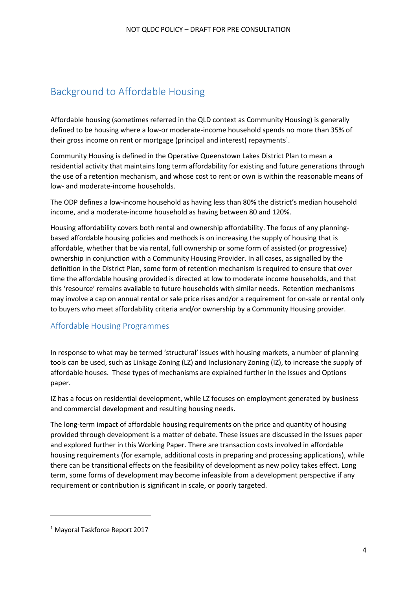## <span id="page-3-0"></span>Background to Affordable Housing

Affordable housing (sometimes referred in the QLD context as Community Housing) is generally defined to be housing where a low-or moderate-income household spends no more than 35% of their gross income on rent or mortgage (principal and interest) repayments<sup>1</sup>.

Community Housing is defined in the Operative Queenstown Lakes District Plan to mean a residential activity that maintains long term affordability for existing and future generations through the use of a retention mechanism, and whose cost to rent or own is within the reasonable means of low- and moderate-income households.

The ODP defines a low-income household as having less than 80% the district's median household income, and a moderate-income household as having between 80 and 120%.

Housing affordability covers both rental and ownership affordability. The focus of any planningbased affordable housing policies and methods is on increasing the supply of housing that is affordable, whether that be via rental, full ownership or some form of assisted (or progressive) ownership in conjunction with a Community Housing Provider. In all cases, as signalled by the definition in the District Plan, some form of retention mechanism is required to ensure that over time the affordable housing provided is directed at low to moderate income households, and that this 'resource' remains available to future households with similar needs. Retention mechanisms may involve a cap on annual rental or sale price rises and/or a requirement for on-sale or rental only to buyers who meet affordability criteria and/or ownership by a Community Housing provider.

## <span id="page-3-1"></span>Affordable Housing Programmes

In response to what may be termed 'structural' issues with housing markets, a number of planning tools can be used, such as Linkage Zoning (LZ) and Inclusionary Zoning (IZ), to increase the supply of affordable houses. These types of mechanisms are explained further in the Issues and Options paper.

IZ has a focus on residential development, while LZ focuses on employment generated by business and commercial development and resulting housing needs.

The long-term impact of affordable housing requirements on the price and quantity of housing provided through development is a matter of debate. These issues are discussed in the Issues paper and explored further in this Working Paper. There are transaction costs involved in affordable housing requirements (for example, additional costs in preparing and processing applications), while there can be transitional effects on the feasibility of development as new policy takes effect. Long term, some forms of development may become infeasible from a development perspective if any requirement or contribution is significant in scale, or poorly targeted.

<sup>1</sup> Mayoral Taskforce Report 2017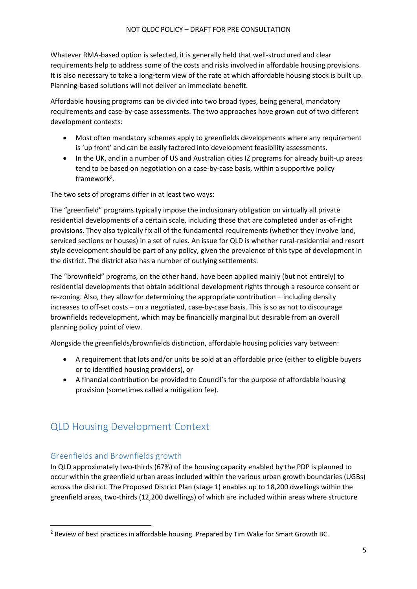Whatever RMA-based option is selected, it is generally held that well-structured and clear requirements help to address some of the costs and risks involved in affordable housing provisions. It is also necessary to take a long-term view of the rate at which affordable housing stock is built up. Planning-based solutions will not deliver an immediate benefit.

Affordable housing programs can be divided into two broad types, being general, mandatory requirements and case-by-case assessments. The two approaches have grown out of two different development contexts:

- Most often mandatory schemes apply to greenfields developments where any requirement is 'up front' and can be easily factored into development feasibility assessments.
- In the UK, and in a number of US and Australian cities IZ programs for already built-up areas tend to be based on negotiation on a case-by-case basis, within a supportive policy framework<sup>2</sup>.

The two sets of programs differ in at least two ways:

The "greenfield" programs typically impose the inclusionary obligation on virtually all private residential developments of a certain scale, including those that are completed under as-of-right provisions. They also typically fix all of the fundamental requirements (whether they involve land, serviced sections or houses) in a set of rules. An issue for QLD is whether rural-residential and resort style development should be part of any policy, given the prevalence of this type of development in the district. The district also has a number of outlying settlements.

The "brownfield" programs, on the other hand, have been applied mainly (but not entirely) to residential developments that obtain additional development rights through a resource consent or re-zoning. Also, they allow for determining the appropriate contribution – including density increases to off-set costs – on a negotiated, case-by-case basis. This is so as not to discourage brownfields redevelopment, which may be financially marginal but desirable from an overall planning policy point of view.

Alongside the greenfields/brownfields distinction, affordable housing policies vary between:

- A requirement that lots and/or units be sold at an affordable price (either to eligible buyers or to identified housing providers), or
- A financial contribution be provided to Council's for the purpose of affordable housing provision (sometimes called a mitigation fee).

## <span id="page-4-0"></span>QLD Housing Development Context

## <span id="page-4-1"></span>Greenfields and Brownfields growth

In QLD approximately two-thirds (67%) of the housing capacity enabled by the PDP is planned to occur within the greenfield urban areas included within the various urban growth boundaries (UGBs) across the district. The Proposed District Plan (stage 1) enables up to 18,200 dwellings within the greenfield areas, two-thirds (12,200 dwellings) of which are included within areas where structure

 $<sup>2</sup>$  Review of best practices in affordable housing. Prepared by Tim Wake for Smart Growth BC.</sup>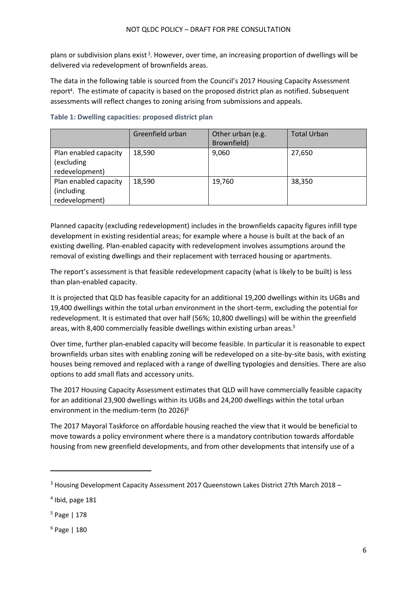plans or subdivision plans exist<sup>3</sup>. However, over time, an increasing proportion of dwellings will be delivered via redevelopment of brownfields areas.

The data in the following table is sourced from the Council's 2017 Housing Capacity Assessment report<sup>4</sup>. The estimate of capacity is based on the proposed district plan as notified. Subsequent assessments will reflect changes to zoning arising from submissions and appeals.

|                                                        | Greenfield urban | Other urban (e.g.<br>Brownfield) | <b>Total Urban</b> |
|--------------------------------------------------------|------------------|----------------------------------|--------------------|
| Plan enabled capacity<br>(excluding<br>redevelopment)  | 18,590           | 9,060                            | 27,650             |
| Plan enabled capacity<br>(including)<br>redevelopment) | 18,590           | 19,760                           | 38,350             |

#### **Table 1: Dwelling capacities: proposed district plan**

Planned capacity (excluding redevelopment) includes in the brownfields capacity figures infill type development in existing residential areas; for example where a house is built at the back of an existing dwelling. Plan-enabled capacity with redevelopment involves assumptions around the removal of existing dwellings and their replacement with terraced housing or apartments.

The report's assessment is that feasible redevelopment capacity (what is likely to be built) is less than plan-enabled capacity.

It is projected that QLD has feasible capacity for an additional 19,200 dwellings within its UGBs and 19,400 dwellings within the total urban environment in the short-term, excluding the potential for redevelopment. It is estimated that over half (56%; 10,800 dwellings) will be within the greenfield areas, with 8,400 commercially feasible dwellings within existing urban areas.<sup>5</sup>

Over time, further plan-enabled capacity will become feasible. In particular it is reasonable to expect brownfields urban sites with enabling zoning will be redeveloped on a site-by-site basis, with existing houses being removed and replaced with a range of dwelling typologies and densities. There are also options to add small flats and accessory units.

The 2017 Housing Capacity Assessment estimates that QLD will have commercially feasible capacity for an additional 23,900 dwellings within its UGBs and 24,200 dwellings within the total urban environment in the medium-term (to 2026)<sup>6</sup>

The 2017 Mayoral Taskforce on affordable housing reached the view that it would be beneficial to move towards a policy environment where there is a mandatory contribution towards affordable housing from new greenfield developments, and from other developments that intensify use of a

 $3$  Housing Development Capacity Assessment 2017 Queenstown Lakes District 27th March 2018 –

<sup>4</sup> Ibid, page 181

<sup>5</sup> Page | 178

<sup>6</sup> Page | 180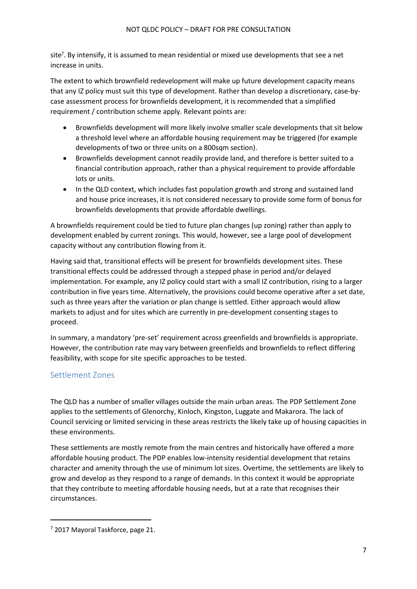site<sup>7</sup>. By intensify, it is assumed to mean residential or mixed use developments that see a net increase in units.

The extent to which brownfield redevelopment will make up future development capacity means that any IZ policy must suit this type of development. Rather than develop a discretionary, case-bycase assessment process for brownfields development, it is recommended that a simplified requirement / contribution scheme apply. Relevant points are:

- Brownfields development will more likely involve smaller scale developments that sit below a threshold level where an affordable housing requirement may be triggered (for example developments of two or three units on a 800sqm section).
- Brownfields development cannot readily provide land, and therefore is better suited to a financial contribution approach, rather than a physical requirement to provide affordable lots or units.
- In the QLD context, which includes fast population growth and strong and sustained land and house price increases, it is not considered necessary to provide some form of bonus for brownfields developments that provide affordable dwellings.

A brownfields requirement could be tied to future plan changes (up zoning) rather than apply to development enabled by current zonings. This would, however, see a large pool of development capacity without any contribution flowing from it.

Having said that, transitional effects will be present for brownfields development sites. These transitional effects could be addressed through a stepped phase in period and/or delayed implementation. For example, any IZ policy could start with a small IZ contribution, rising to a larger contribution in five years time. Alternatively, the provisions could become operative after a set date, such as three years after the variation or plan change is settled. Either approach would allow markets to adjust and for sites which are currently in pre-development consenting stages to proceed.

In summary, a mandatory 'pre-set' requirement across greenfields and brownfields is appropriate. However, the contribution rate may vary between greenfields and brownfields to reflect differing feasibility, with scope for site specific approaches to be tested.

### <span id="page-6-0"></span>Settlement Zones

The QLD has a number of smaller villages outside the main urban areas. The PDP Settlement Zone applies to the settlements of Glenorchy, Kinloch, Kingston, Luggate and Makarora. The lack of Council servicing or limited servicing in these areas restricts the likely take up of housing capacities in these environments.

These settlements are mostly remote from the main centres and historically have offered a more affordable housing product. The PDP enables low‐intensity residential development that retains character and amenity through the use of minimum lot sizes. Overtime, the settlements are likely to grow and develop as they respond to a range of demands. In this context it would be appropriate that they contribute to meeting affordable housing needs, but at a rate that recognises their circumstances.

 $<sup>7</sup>$  2017 Mayoral Taskforce, page 21.</sup>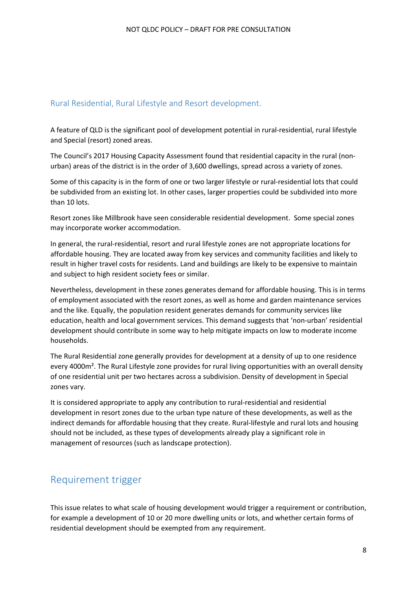### <span id="page-7-0"></span>Rural Residential, Rural Lifestyle and Resort development.

A feature of QLD is the significant pool of development potential in rural-residential, rural lifestyle and Special (resort) zoned areas.

The Council's 2017 Housing Capacity Assessment found that residential capacity in the rural (nonurban) areas of the district is in the order of 3,600 dwellings, spread across a variety of zones.

Some of this capacity is in the form of one or two larger lifestyle or rural-residential lots that could be subdivided from an existing lot. In other cases, larger properties could be subdivided into more than 10 lots.

Resort zones like Millbrook have seen considerable residential development. Some special zones may incorporate worker accommodation.

In general, the rural-residential, resort and rural lifestyle zones are not appropriate locations for affordable housing. They are located away from key services and community facilities and likely to result in higher travel costs for residents. Land and buildings are likely to be expensive to maintain and subject to high resident society fees or similar.

Nevertheless, development in these zones generates demand for affordable housing. This is in terms of employment associated with the resort zones, as well as home and garden maintenance services and the like. Equally, the population resident generates demands for community services like education, health and local government services. This demand suggests that 'non-urban' residential development should contribute in some way to help mitigate impacts on low to moderate income households.

The Rural Residential zone generally provides for development at a density of up to one residence every 4000m². The Rural Lifestyle zone provides for rural living opportunities with an overall density of one residential unit per two hectares across a subdivision. Density of development in Special zones vary.

It is considered appropriate to apply any contribution to rural-residential and residential development in resort zones due to the urban type nature of these developments, as well as the indirect demands for affordable housing that they create. Rural-lifestyle and rural lots and housing should not be included, as these types of developments already play a significant role in management of resources (such as landscape protection).

## <span id="page-7-1"></span>Requirement trigger

This issue relates to what scale of housing development would trigger a requirement or contribution, for example a development of 10 or 20 more dwelling units or lots, and whether certain forms of residential development should be exempted from any requirement.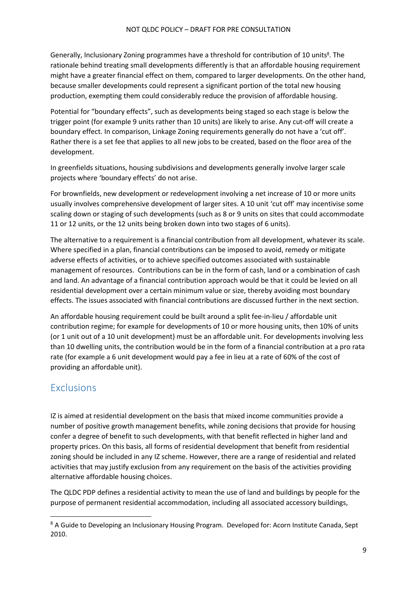Generally, Inclusionary Zoning programmes have a threshold for contribution of 10 units<sup>8</sup>. The rationale behind treating small developments differently is that an affordable housing requirement might have a greater financial effect on them, compared to larger developments. On the other hand, because smaller developments could represent a significant portion of the total new housing production, exempting them could considerably reduce the provision of affordable housing.

Potential for "boundary effects", such as developments being staged so each stage is below the trigger point (for example 9 units rather than 10 units) are likely to arise. Any cut-off will create a boundary effect. In comparison, Linkage Zoning requirements generally do not have a 'cut off'. Rather there is a set fee that applies to all new jobs to be created, based on the floor area of the development.

In greenfields situations, housing subdivisions and developments generally involve larger scale projects where 'boundary effects' do not arise.

For brownfields, new development or redevelopment involving a net increase of 10 or more units usually involves comprehensive development of larger sites. A 10 unit 'cut off' may incentivise some scaling down or staging of such developments (such as 8 or 9 units on sites that could accommodate 11 or 12 units, or the 12 units being broken down into two stages of 6 units).

The alternative to a requirement is a financial contribution from all development, whatever its scale. Where specified in a plan, financial contributions can be imposed to avoid, remedy or mitigate adverse effects of activities, or to achieve specified outcomes associated with sustainable management of resources. Contributions can be in the form of cash, land or a combination of cash and land. An advantage of a financial contribution approach would be that it could be levied on all residential development over a certain minimum value or size, thereby avoiding most boundary effects. The issues associated with financial contributions are discussed further in the next section.

An affordable housing requirement could be built around a split fee-in-lieu / affordable unit contribution regime; for example for developments of 10 or more housing units, then 10% of units (or 1 unit out of a 10 unit development) must be an affordable unit. For developments involving less than 10 dwelling units, the contribution would be in the form of a financial contribution at a pro rata rate (for example a 6 unit development would pay a fee in lieu at a rate of 60% of the cost of providing an affordable unit).

## <span id="page-8-0"></span>Exclusions

IZ is aimed at residential development on the basis that mixed income communities provide a number of positive growth management benefits, while zoning decisions that provide for housing confer a degree of benefit to such developments, with that benefit reflected in higher land and property prices. On this basis, all forms of residential development that benefit from residential zoning should be included in any IZ scheme. However, there are a range of residential and related activities that may justify exclusion from any requirement on the basis of the activities providing alternative affordable housing choices.

The QLDC PDP defines a residential activity to mean the use of land and buildings by people for the purpose of permanent residential accommodation, including all associated accessory buildings,

<sup>&</sup>lt;sup>8</sup> A Guide to Developing an Inclusionary Housing Program. Developed for: Acorn Institute Canada, Sept 2010.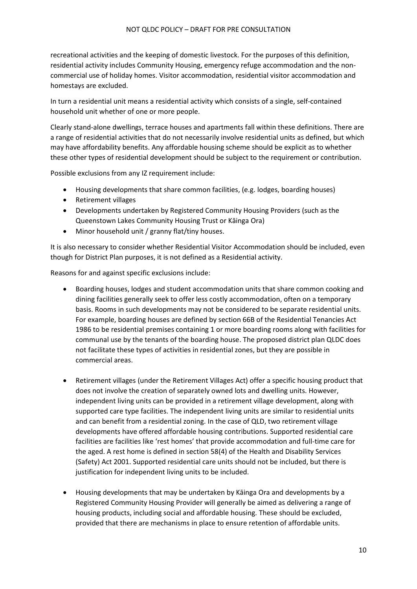recreational activities and the keeping of domestic livestock. For the purposes of this definition, residential activity includes Community Housing, emergency refuge accommodation and the noncommercial use of holiday homes. Visitor accommodation, residential visitor accommodation and homestays are excluded.

In turn a residential unit means a residential activity which consists of a single, self-contained household unit whether of one or more people.

Clearly stand-alone dwellings, terrace houses and apartments fall within these definitions. There are a range of residential activities that do not necessarily involve residential units as defined, but which may have affordability benefits. Any affordable housing scheme should be explicit as to whether these other types of residential development should be subject to the requirement or contribution.

Possible exclusions from any IZ requirement include:

- Housing developments that share common facilities, (e.g. lodges, boarding houses)
- Retirement villages
- Developments undertaken by Registered Community Housing Providers (such as the Queenstown Lakes Community Housing Trust or Kāinga Ora)
- Minor household unit / granny flat/tiny houses.

It is also necessary to consider whether Residential Visitor Accommodation should be included, even though for District Plan purposes, it is not defined as a Residential activity.

Reasons for and against specific exclusions include:

- Boarding houses, lodges and student accommodation units that share common cooking and dining facilities generally seek to offer less costly accommodation, often on a temporary basis. Rooms in such developments may not be considered to be separate residential units. For example, boarding houses are defined by section 66B of the Residential Tenancies Act 1986 to be residential premises containing 1 or more boarding rooms along with facilities for communal use by the tenants of the boarding house. The proposed district plan QLDC does not facilitate these types of activities in residential zones, but they are possible in commercial areas.
- Retirement villages (under the Retirement Villages Act) offer a specific housing product that does not involve the creation of separately owned lots and dwelling units. However, independent living units can be provided in a retirement village development, along with supported care type facilities. The independent living units are similar to residential units and can benefit from a residential zoning. In the case of QLD, two retirement village developments have offered affordable housing contributions. Supported residential care facilities are facilities like 'rest homes' that provide accommodation and full-time care for the aged. A rest home is defined in section 58(4) of the Health and Disability Services (Safety) Act 2001. Supported residential care units should not be included, but there is justification for independent living units to be included.
- Housing developments that may be undertaken by Kāinga Ora and developments by a Registered Community Housing Provider will generally be aimed as delivering a range of housing products, including social and affordable housing. These should be excluded, provided that there are mechanisms in place to ensure retention of affordable units.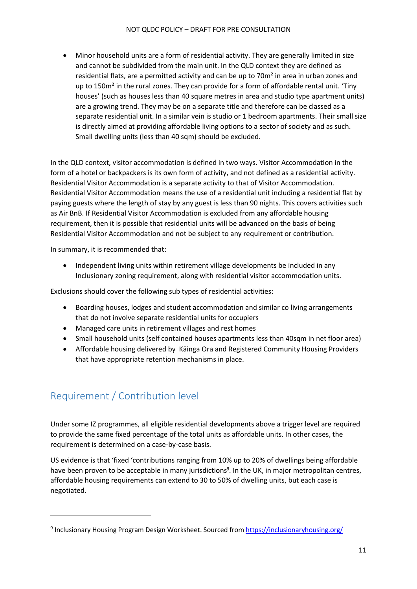• Minor household units are a form of residential activity. They are generally limited in size and cannot be subdivided from the main unit. In the QLD context they are defined as residential flats, are a permitted activity and can be up to 70m² in area in urban zones and up to 150m² in the rural zones. They can provide for a form of affordable rental unit. 'Tiny houses' (such as houses less than 40 square metres in area and studio type apartment units) are a growing trend. They may be on a separate title and therefore can be classed as a separate residential unit. In a similar vein is studio or 1 bedroom apartments. Their small size is directly aimed at providing affordable living options to a sector of society and as such. Small dwelling units (less than 40 sqm) should be excluded.

In the QLD context, visitor accommodation is defined in two ways. Visitor Accommodation in the form of a hotel or backpackers is its own form of activity, and not defined as a residential activity. Residential Visitor Accommodation is a separate activity to that of Visitor Accommodation. Residential Visitor Accommodation means the use of a residential unit including a residential flat by paying guests where the length of stay by any guest is less than 90 nights. This covers activities such as Air BnB. If Residential Visitor Accommodation is excluded from any affordable housing requirement, then it is possible that residential units will be advanced on the basis of being Residential Visitor Accommodation and not be subject to any requirement or contribution.

In summary, it is recommended that:

• Independent living units within retirement village developments be included in any Inclusionary zoning requirement, along with residential visitor accommodation units.

Exclusions should cover the following sub types of residential activities:

- Boarding houses, lodges and student accommodation and similar co living arrangements that do not involve separate residential units for occupiers
- Managed care units in retirement villages and rest homes
- Small household units (self contained houses apartments less than 40sqm in net floor area)
- Affordable housing delivered by Kāinga Ora and Registered Community Housing Providers that have appropriate retention mechanisms in place.

## <span id="page-10-0"></span>Requirement / Contribution level

Under some IZ programmes, all eligible residential developments above a trigger level are required to provide the same fixed percentage of the total units as affordable units. In other cases, the requirement is determined on a case-by-case basis.

US evidence is that 'fixed 'contributions ranging from 10% up to 20% of dwellings being affordable have been proven to be acceptable in many jurisdictions<sup>9</sup>. In the UK, in major metropolitan centres, affordable housing requirements can extend to 30 to 50% of dwelling units, but each case is negotiated.

<sup>&</sup>lt;sup>9</sup> Inclusionary Housing Program Design Worksheet. Sourced from<https://inclusionaryhousing.org/>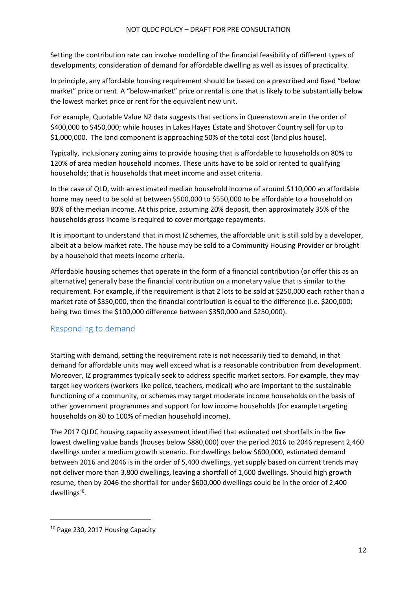Setting the contribution rate can involve modelling of the financial feasibility of different types of developments, consideration of demand for affordable dwelling as well as issues of practicality.

In principle, any affordable housing requirement should be based on a prescribed and fixed "below market" price or rent. A "below-market" price or rental is one that is likely to be substantially below the lowest market price or rent for the equivalent new unit.

For example, Quotable Value NZ data suggests that sections in Queenstown are in the order of \$400,000 to \$450,000; while houses in Lakes Hayes Estate and Shotover Country sell for up to \$1,000,000. The land component is approaching 50% of the total cost (land plus house).

Typically, inclusionary zoning aims to provide housing that is affordable to households on 80% to 120% of area median household incomes. These units have to be sold or rented to qualifying households; that is households that meet income and asset criteria.

In the case of QLD, with an estimated median household income of around \$110,000 an affordable home may need to be sold at between \$500,000 to \$550,000 to be affordable to a household on 80% of the median income. At this price, assuming 20% deposit, then approximately 35% of the households gross income is required to cover mortgage repayments.

It is important to understand that in most IZ schemes, the affordable unit is still sold by a developer, albeit at a below market rate. The house may be sold to a Community Housing Provider or brought by a household that meets income criteria.

Affordable housing schemes that operate in the form of a financial contribution (or offer this as an alternative) generally base the financial contribution on a monetary value that is similar to the requirement. For example, if the requirement is that 2 lots to be sold at \$250,000 each rather than a market rate of \$350,000, then the financial contribution is equal to the difference (i.e. \$200,000; being two times the \$100,000 difference between \$350,000 and \$250,000).

### <span id="page-11-0"></span>Responding to demand

Starting with demand, setting the requirement rate is not necessarily tied to demand, in that demand for affordable units may well exceed what is a reasonable contribution from development. Moreover, IZ programmes typically seek to address specific market sectors. For example, they may target key workers (workers like police, teachers, medical) who are important to the sustainable functioning of a community, or schemes may target moderate income households on the basis of other government programmes and support for low income households (for example targeting households on 80 to 100% of median household income).

The 2017 QLDC housing capacity assessment identified that estimated net shortfalls in the five lowest dwelling value bands (houses below \$880,000) over the period 2016 to 2046 represent 2,460 dwellings under a medium growth scenario. For dwellings below \$600,000, estimated demand between 2016 and 2046 is in the order of 5,400 dwellings, yet supply based on current trends may not deliver more than 3,800 dwellings, leaving a shortfall of 1,600 dwellings. Should high growth resume, then by 2046 the shortfall for under \$600,000 dwellings could be in the order of 2,400 dwellings<sup>10</sup>.

<sup>&</sup>lt;sup>10</sup> Page 230, 2017 Housing Capacity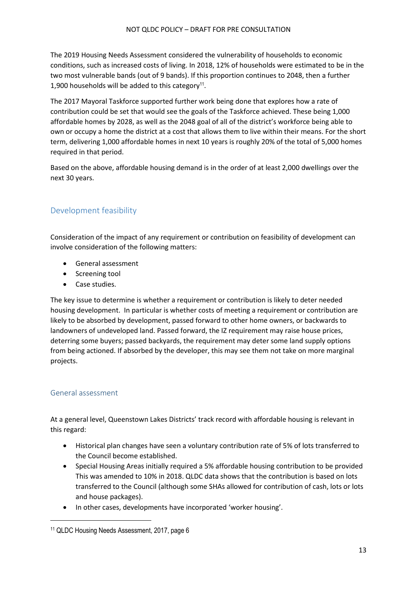The 2019 Housing Needs Assessment considered the vulnerability of households to economic conditions, such as increased costs of living. In 2018, 12% of households were estimated to be in the two most vulnerable bands (out of 9 bands). If this proportion continues to 2048, then a further 1,900 households will be added to this category<sup>11</sup>.

The 2017 Mayoral Taskforce supported further work being done that explores how a rate of contribution could be set that would see the goals of the Taskforce achieved. These being 1,000 affordable homes by 2028, as well as the 2048 goal of all of the district's workforce being able to own or occupy a home the district at a cost that allows them to live within their means. For the short term, delivering 1,000 affordable homes in next 10 years is roughly 20% of the total of 5,000 homes required in that period.

Based on the above, affordable housing demand is in the order of at least 2,000 dwellings over the next 30 years.

## <span id="page-12-0"></span>Development feasibility

Consideration of the impact of any requirement or contribution on feasibility of development can involve consideration of the following matters:

- General assessment
- Screening tool
- Case studies.

The key issue to determine is whether a requirement or contribution is likely to deter needed housing development. In particular is whether costs of meeting a requirement or contribution are likely to be absorbed by development, passed forward to other home owners, or backwards to landowners of undeveloped land. Passed forward, the IZ requirement may raise house prices, deterring some buyers; passed backyards, the requirement may deter some land supply options from being actioned. If absorbed by the developer, this may see them not take on more marginal projects.

### <span id="page-12-1"></span>General assessment

At a general level, Queenstown Lakes Districts' track record with affordable housing is relevant in this regard:

- Historical plan changes have seen a voluntary contribution rate of 5% of lots transferred to the Council become established.
- Special Housing Areas initially required a 5% affordable housing contribution to be provided This was amended to 10% in 2018. QLDC data shows that the contribution is based on lots transferred to the Council (although some SHAs allowed for contribution of cash, lots or lots and house packages).
- In other cases, developments have incorporated 'worker housing'.

<sup>11</sup> QLDC Housing Needs Assessment, 2017, page 6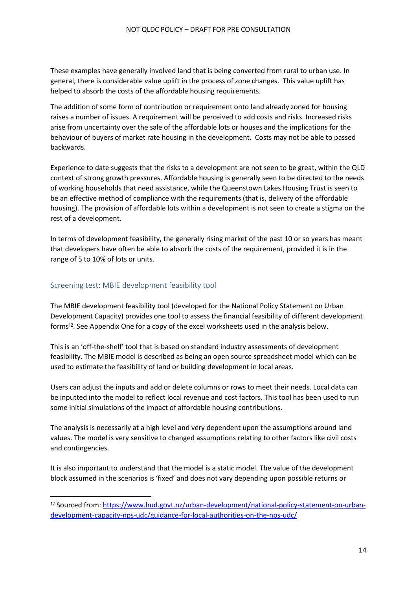These examples have generally involved land that is being converted from rural to urban use. In general, there is considerable value uplift in the process of zone changes. This value uplift has helped to absorb the costs of the affordable housing requirements.

The addition of some form of contribution or requirement onto land already zoned for housing raises a number of issues. A requirement will be perceived to add costs and risks. Increased risks arise from uncertainty over the sale of the affordable lots or houses and the implications for the behaviour of buyers of market rate housing in the development. Costs may not be able to passed backwards.

Experience to date suggests that the risks to a development are not seen to be great, within the QLD context of strong growth pressures. Affordable housing is generally seen to be directed to the needs of working households that need assistance, while the Queenstown Lakes Housing Trust is seen to be an effective method of compliance with the requirements (that is, delivery of the affordable housing). The provision of affordable lots within a development is not seen to create a stigma on the rest of a development.

In terms of development feasibility, the generally rising market of the past 10 or so years has meant that developers have often be able to absorb the costs of the requirement, provided it is in the range of 5 to 10% of lots or units.

#### <span id="page-13-0"></span>Screening test: MBIE development feasibility tool

The MBIE development feasibility tool (developed for the National Policy Statement on Urban Development Capacity) provides one tool to assess the financial feasibility of different development forms<sup>12</sup>. See Appendix One for a copy of the excel worksheets used in the analysis below.

This is an 'off-the-shelf' tool that is based on standard industry assessments of development feasibility. The MBIE model is described as being an open source spreadsheet model which can be used to estimate the feasibility of land or building development in local areas.

Users can adjust the inputs and add or delete columns or rows to meet their needs. Local data can be inputted into the model to reflect local revenue and cost factors. This tool has been used to run some initial simulations of the impact of affordable housing contributions.

The analysis is necessarily at a high level and very dependent upon the assumptions around land values. The model is very sensitive to changed assumptions relating to other factors like civil costs and contingencies.

It is also important to understand that the model is a static model. The value of the development block assumed in the scenarios is 'fixed' and does not vary depending upon possible returns or

<sup>12</sup> Sourced from: [https://www.hud.govt.nz/urban-development/national-policy-statement-on-urban](https://www.hud.govt.nz/urban-development/national-policy-statement-on-urban-development-capacity-nps-udc/guidance-for-local-authorities-on-the-nps-udc/)[development-capacity-nps-udc/guidance-for-local-authorities-on-the-nps-udc/](https://www.hud.govt.nz/urban-development/national-policy-statement-on-urban-development-capacity-nps-udc/guidance-for-local-authorities-on-the-nps-udc/)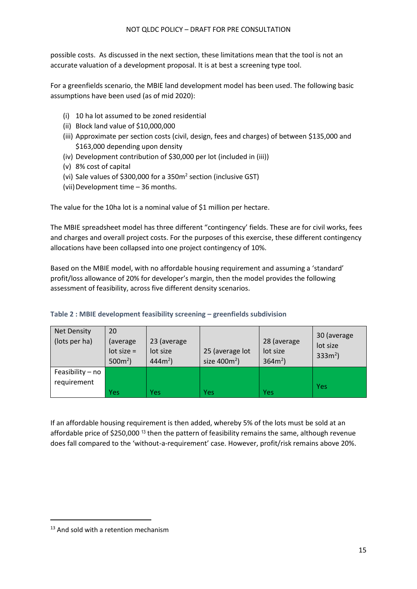possible costs. As discussed in the next section, these limitations mean that the tool is not an accurate valuation of a development proposal. It is at best a screening type tool.

For a greenfields scenario, the MBIE land development model has been used. The following basic assumptions have been used (as of mid 2020):

- (i) 10 ha lot assumed to be zoned residential
- (ii) Block land value of \$10,000,000
- (iii) Approximate per section costs (civil, design, fees and charges) of between \$135,000 and \$163,000 depending upon density
- (iv) Development contribution of \$30,000 per lot (included in (iii))
- (v) 8% cost of capital
- (vi) Sale values of \$300,000 for a 350m<sup>2</sup> section (inclusive GST)
- (vii) Development time 36 months.

The value for the 10ha lot is a nominal value of \$1 million per hectare.

The MBIE spreadsheet model has three different "contingency' fields. These are for civil works, fees and charges and overall project costs. For the purposes of this exercise, these different contingency allocations have been collapsed into one project contingency of 10%.

Based on the MBIE model, with no affordable housing requirement and assuming a 'standard' profit/loss allowance of 20% for developer's margin, then the model provides the following assessment of feasibility, across five different density scenarios.

| <b>Net Density</b><br>(lots per ha) | 20<br>(average)<br>$lot size =$<br>$500m^2$ ) | 23 (average<br>lot size<br>$444m^2$ ) | 25 (average lot<br>size $400m^2$ ) | 28 (average<br>lot size<br>$364m^2$ ) | 30 (average)<br>lot size<br>$333m^2$ ) |
|-------------------------------------|-----------------------------------------------|---------------------------------------|------------------------------------|---------------------------------------|----------------------------------------|
| Feasibility - no<br>requirement     |                                               |                                       |                                    |                                       |                                        |
|                                     | <b>Yes</b>                                    | Yes                                   | Yes                                | Yes                                   | <b>Yes</b>                             |

#### **Table 2 : MBIE development feasibility screening – greenfields subdivision**

If an affordable housing requirement is then added, whereby 5% of the lots must be sold at an affordable price of \$250,000 <sup>13</sup> then the pattern of feasibility remains the same, although revenue does fall compared to the 'without-a-requirement' case. However, profit/risk remains above 20%.

<sup>&</sup>lt;sup>13</sup> And sold with a retention mechanism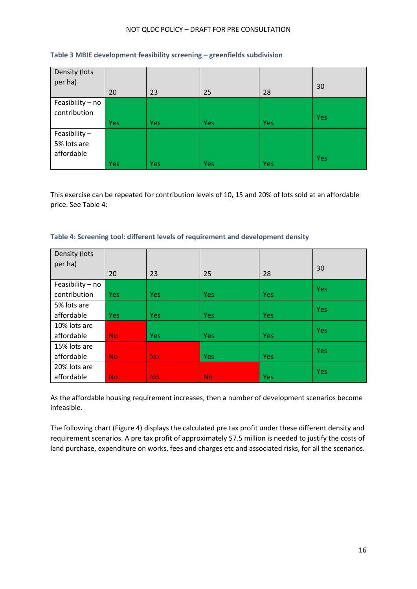| Density (lots<br>per ha) | 20         | 23         | 25  | 28         | 30  |
|--------------------------|------------|------------|-----|------------|-----|
| Feasibility - no         |            |            |     |            |     |
|                          |            |            |     |            |     |
| contribution             |            |            |     |            | Yes |
|                          | <b>Yes</b> | <b>Yes</b> | Yes | <b>Yes</b> |     |
| Feasibility $-$          |            |            |     |            |     |
| 5% lots are              |            |            |     |            |     |
| affordable               |            |            |     |            |     |
|                          | Yes        | Yes        | Yes | Yes        | Yes |

#### **Table 3 MBIE development feasibility screening – greenfields subdivision**

This exercise can be repeated for contribution levels of 10, 15 and 20% of lots sold at an affordable price. See Table 4:

#### **Table 4: Screening tool: different levels of requirement and development density**

| Density (lots    |            |            |            |            |            |
|------------------|------------|------------|------------|------------|------------|
| per ha)          |            |            |            |            | 30         |
|                  | 20         | 23         | 25         | 28         |            |
| Feasibility - no |            |            |            |            | <b>Yes</b> |
| contribution     | <b>Yes</b> | <b>Yes</b> | Yes        | <b>Yes</b> |            |
| 5% lots are      |            |            |            |            | Yes        |
| affordable       | <b>Yes</b> | <b>Yes</b> | <b>Yes</b> | <b>Yes</b> |            |
| 10% lots are     |            |            |            |            | <b>Yes</b> |
| affordable       | <b>No</b>  | <b>Yes</b> | Yes        | <b>Yes</b> |            |
| 15% lots are     |            |            |            |            | <b>Yes</b> |
| affordable       | <b>No</b>  | <b>No</b>  | Yes        | <b>Yes</b> |            |
| 20% lots are     |            |            |            |            | <b>Yes</b> |
| affordable       | <b>No</b>  | <b>No</b>  | <b>No</b>  | <b>Yes</b> |            |

As the affordable housing requirement increases, then a number of development scenarios become infeasible.

The following chart (Figure 4) displays the calculated pre tax profit under these different density and requirement scenarios. A pre tax profit of approximately \$7.5 million is needed to justify the costs of land purchase, expenditure on works, fees and charges etc and associated risks, for all the scenarios.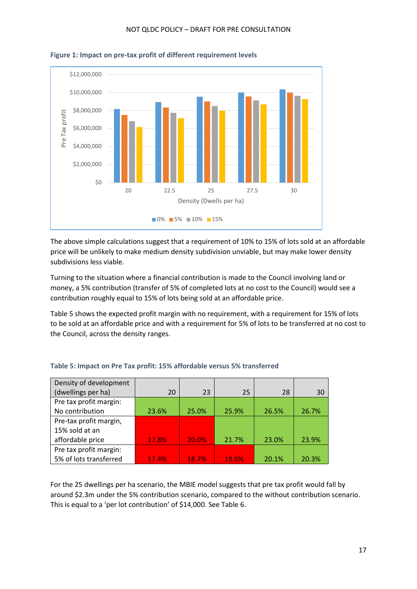

**Figure 1: Impact on pre-tax profit of different requirement levels**

The above simple calculations suggest that a requirement of 10% to 15% of lots sold at an affordable price will be unlikely to make medium density subdivision unviable, but may make lower density subdivisions less viable.

Turning to the situation where a financial contribution is made to the Council involving land or money, a 5% contribution (transfer of 5% of completed lots at no cost to the Council) would see a contribution roughly equal to 15% of lots being sold at an affordable price.

Table 5 shows the expected profit margin with no requirement, with a requirement for 15% of lots to be sold at an affordable price and with a requirement for 5% of lots to be transferred at no cost to the Council, across the density ranges.

| Density of development |       |       |              |       |       |
|------------------------|-------|-------|--------------|-------|-------|
| (dwellings per ha)     | 20    | 23    | 25           | 28    | 30    |
| Pre tax profit margin: |       |       |              |       |       |
| No contribution        | 23.6% | 25.0% | 25.9%        | 26.5% | 26.7% |
| Pre-tax profit margin, |       |       |              |       |       |
| 15% sold at an         |       |       |              |       |       |
| affordable price       | 17.8% | 20.0% | 21.7%        | 23.0% | 23.9% |
| Pre tax profit margin: |       |       |              |       |       |
| 5% of lots transferred | 17.4% | 18.7% | <b>19.6%</b> | 20.1% | 20.3% |

#### **Table 5: Impact on Pre Tax profit: 15% affordable versus 5% transferred**

For the 25 dwellings per ha scenario, the MBIE model suggests that pre tax profit would fall by around \$2.3m under the 5% contribution scenario, compared to the without contribution scenario. This is equal to a 'per lot contribution' of \$14,000. See Table 6.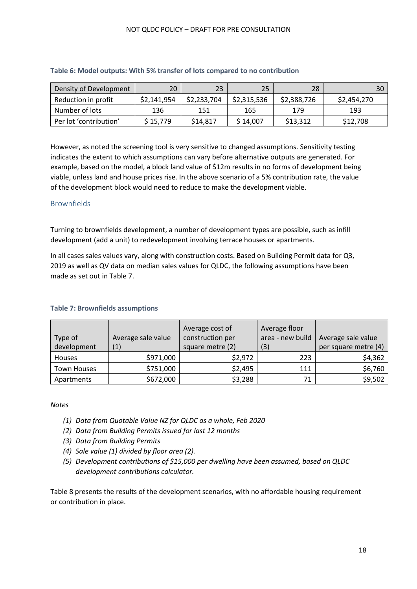| Density of Development | 20          | 23          | 25          | 28          | 30          |
|------------------------|-------------|-------------|-------------|-------------|-------------|
| Reduction in profit    | \$2,141,954 | \$2,233,704 | \$2,315,536 | \$2,388,726 | \$2,454,270 |
| Number of lots         | 136         | 151         | 165         | 179         | 193         |
| Per lot 'contribution' | \$15,779    | \$14,817    | \$14,007    | \$13,312    | \$12,708    |

#### **Table 6: Model outputs: With 5% transfer of lots compared to no contribution**

However, as noted the screening tool is very sensitive to changed assumptions. Sensitivity testing indicates the extent to which assumptions can vary before alternative outputs are generated. For example, based on the model, a block land value of \$12m results in no forms of development being viable, unless land and house prices rise. In the above scenario of a 5% contribution rate, the value of the development block would need to reduce to make the development viable.

#### <span id="page-17-0"></span>Brownfields

Turning to brownfields development, a number of development types are possible, such as infill development (add a unit) to redevelopment involving terrace houses or apartments.

In all cases sales values vary, along with construction costs. Based on Building Permit data for Q3, 2019 as well as QV data on median sales values for QLDC, the following assumptions have been made as set out in Table 7.

| Type of<br>development | Average sale value<br>(1) | Average cost of<br>construction per<br>square metre (2) | Average floor<br>area - new build<br>(3) | Average sale value<br>per square metre (4) |
|------------------------|---------------------------|---------------------------------------------------------|------------------------------------------|--------------------------------------------|
| Houses                 | \$971,000                 | \$2,972                                                 | 223                                      | \$4,362                                    |
| <b>Town Houses</b>     | \$751,000                 | \$2,495                                                 | 111                                      | \$6,760                                    |
| Apartments             | \$672,000                 | \$3,288                                                 | 71                                       | \$9,502                                    |

#### **Table 7: Brownfields assumptions**

#### *Notes*

- *(1) Data from Quotable Value NZ for QLDC as a whole, Feb 2020*
- *(2) Data from Building Permits issued for last 12 months*
- *(3) Data from Building Permits*
- *(4) Sale value (1) divided by floor area (2).*
- *(5) Development contributions of \$15,000 per dwelling have been assumed, based on QLDC development contributions calculator.*

Table 8 presents the results of the development scenarios, with no affordable housing requirement or contribution in place.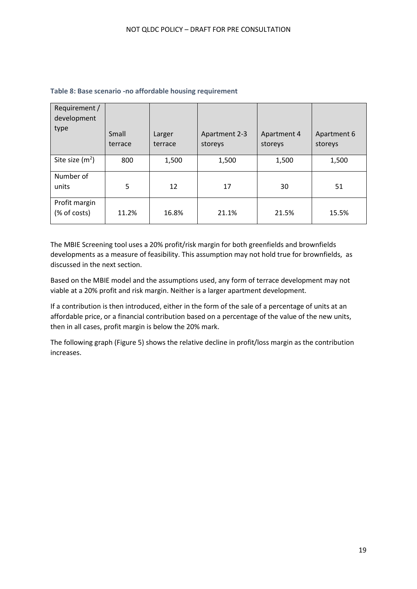| Requirement /<br>development  |                  |                   |                          |                        |                        |
|-------------------------------|------------------|-------------------|--------------------------|------------------------|------------------------|
| type                          | Small<br>terrace | Larger<br>terrace | Apartment 2-3<br>storeys | Apartment 4<br>storeys | Apartment 6<br>storeys |
| Site size $(m^2)$             | 800              | 1,500             | 1,500                    | 1,500                  | 1,500                  |
| Number of<br>units            | 5                | 12                | 17                       | 30                     | 51                     |
| Profit margin<br>(% of costs) | 11.2%            | 16.8%             | 21.1%                    | 21.5%                  | 15.5%                  |

#### **Table 8: Base scenario -no affordable housing requirement**

The MBIE Screening tool uses a 20% profit/risk margin for both greenfields and brownfields developments as a measure of feasibility. This assumption may not hold true for brownfields, as discussed in the next section.

Based on the MBIE model and the assumptions used, any form of terrace development may not viable at a 20% profit and risk margin. Neither is a larger apartment development.

If a contribution is then introduced, either in the form of the sale of a percentage of units at an affordable price, or a financial contribution based on a percentage of the value of the new units, then in all cases, profit margin is below the 20% mark.

The following graph (Figure 5) shows the relative decline in profit/loss margin as the contribution increases.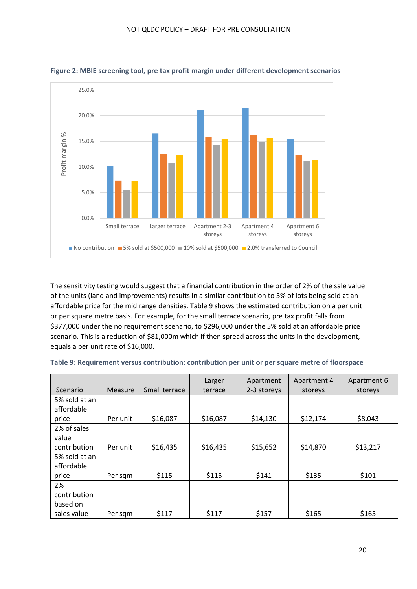

**Figure 2: MBIE screening tool, pre tax profit margin under different development scenarios**

The sensitivity testing would suggest that a financial contribution in the order of 2% of the sale value of the units (land and improvements) results in a similar contribution to 5% of lots being sold at an affordable price for the mid range densities. Table 9 shows the estimated contribution on a per unit or per square metre basis. For example, for the small terrace scenario, pre tax profit falls from \$377,000 under the no requirement scenario, to \$296,000 under the 5% sold at an affordable price scenario. This is a reduction of \$81,000m which if then spread across the units in the development, equals a per unit rate of \$16,000.

|               |          |               | Larger   | Apartment   | Apartment 4 | Apartment 6 |
|---------------|----------|---------------|----------|-------------|-------------|-------------|
| Scenario      | Measure  | Small terrace | terrace  | 2-3 storeys | storeys     | storeys     |
| 5% sold at an |          |               |          |             |             |             |
| affordable    |          |               |          |             |             |             |
| price         | Per unit | \$16,087      | \$16,087 | \$14,130    | \$12,174    | \$8,043     |
| 2% of sales   |          |               |          |             |             |             |
| value         |          |               |          |             |             |             |
| contribution  | Per unit | \$16,435      | \$16,435 | \$15,652    | \$14,870    | \$13,217    |
| 5% sold at an |          |               |          |             |             |             |
| affordable    |          |               |          |             |             |             |
| price         | Per sqm  | \$115         | \$115    | \$141       | \$135       | \$101       |
| 2%            |          |               |          |             |             |             |
| contribution  |          |               |          |             |             |             |
| based on      |          |               |          |             |             |             |
| sales value   | Per sqm  | \$117         | \$117    | \$157       | \$165       | \$165       |

| Table 9: Requirement versus contribution: contribution per unit or per square metre of floorspace |  |  |  |  |  |
|---------------------------------------------------------------------------------------------------|--|--|--|--|--|
|---------------------------------------------------------------------------------------------------|--|--|--|--|--|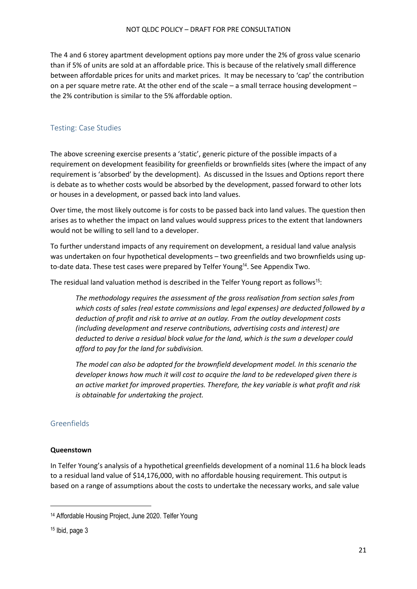The 4 and 6 storey apartment development options pay more under the 2% of gross value scenario than if 5% of units are sold at an affordable price. This is because of the relatively small difference between affordable prices for units and market prices. It may be necessary to 'cap' the contribution on a per square metre rate. At the other end of the scale – a small terrace housing development – the 2% contribution is similar to the 5% affordable option.

#### <span id="page-20-0"></span>Testing: Case Studies

The above screening exercise presents a 'static', generic picture of the possible impacts of a requirement on development feasibility for greenfields or brownfields sites (where the impact of any requirement is 'absorbed' by the development). As discussed in the Issues and Options report there is debate as to whether costs would be absorbed by the development, passed forward to other lots or houses in a development, or passed back into land values.

Over time, the most likely outcome is for costs to be passed back into land values. The question then arises as to whether the impact on land values would suppress prices to the extent that landowners would not be willing to sell land to a developer.

To further understand impacts of any requirement on development, a residual land value analysis was undertaken on four hypothetical developments – two greenfields and two brownfields using upto-date data. These test cases were prepared by Telfer Young<sup>14</sup>. See Appendix Two.

The residual land valuation method is described in the Telfer Young report as follows<sup>15</sup>:

*The methodology requires the assessment of the gross realisation from section sales from which costs of sales (real estate commissions and legal expenses) are deducted followed by a deduction of profit and risk to arrive at an outlay. From the outlay development costs (including development and reserve contributions, advertising costs and interest) are deducted to derive a residual block value for the land, which is the sum a developer could afford to pay for the land for subdivision.* 

*The model can also be adopted for the brownfield development model. In this scenario the developer knows how much it will cost to acquire the land to be redeveloped given there is an active market for improved properties. Therefore, the key variable is what profit and risk is obtainable for undertaking the project.* 

#### <span id="page-20-1"></span>Greenfields

#### **Queenstown**

In Telfer Young's analysis of a hypothetical greenfields development of a nominal 11.6 ha block leads to a residual land value of \$14,176,000, with no affordable housing requirement. This output is based on a range of assumptions about the costs to undertake the necessary works, and sale value

<sup>14</sup> Affordable Housing Project, June 2020. Telfer Young

<sup>15</sup> Ibid, page 3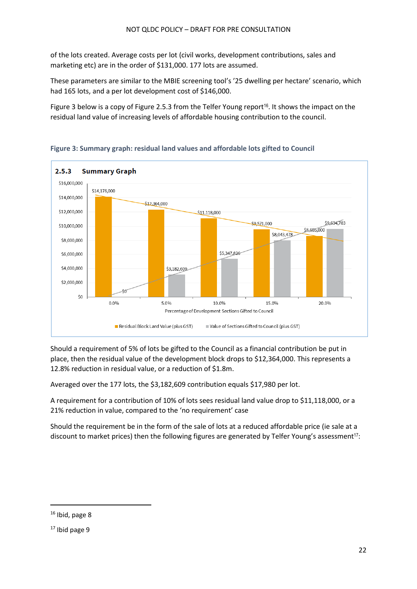of the lots created. Average costs per lot (civil works, development contributions, sales and marketing etc) are in the order of \$131,000. 177 lots are assumed.

These parameters are similar to the MBIE screening tool's '25 dwelling per hectare' scenario, which had 165 lots, and a per lot development cost of \$146,000.

Figure 3 below is a copy of Figure 2.5.3 from the Telfer Young report<sup>16</sup>. It shows the impact on the residual land value of increasing levels of affordable housing contribution to the council.



**Figure 3: Summary graph: residual land values and affordable lots gifted to Council** 

Should a requirement of 5% of lots be gifted to the Council as a financial contribution be put in place, then the residual value of the development block drops to \$12,364,000. This represents a 12.8% reduction in residual value, or a reduction of \$1.8m.

Averaged over the 177 lots, the \$3,182,609 contribution equals \$17,980 per lot.

A requirement for a contribution of 10% of lots sees residual land value drop to \$11,118,000, or a 21% reduction in value, compared to the 'no requirement' case

Should the requirement be in the form of the sale of lots at a reduced affordable price (ie sale at a discount to market prices) then the following figures are generated by Telfer Young's assessment<sup>17</sup>:

<sup>16</sup> Ibid, page 8

 $17$  Ibid page 9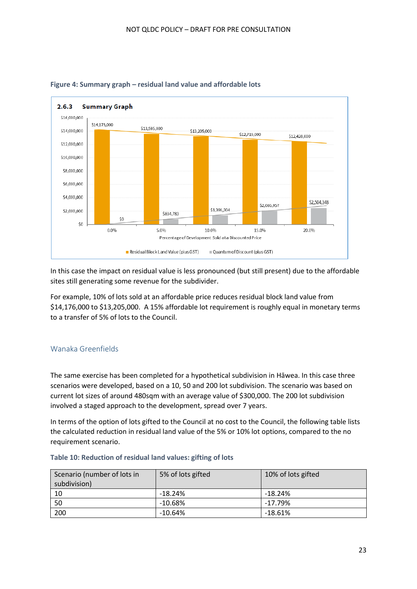

#### **Figure 4: Summary graph – residual land value and affordable lots**

In this case the impact on residual value is less pronounced (but still present) due to the affordable sites still generating some revenue for the subdivider.

For example, 10% of lots sold at an affordable price reduces residual block land value from \$14,176,000 to \$13,205,000. A 15% affordable lot requirement is roughly equal in monetary terms to a transfer of 5% of lots to the Council.

#### <span id="page-22-0"></span>Wanaka Greenfields

The same exercise has been completed for a hypothetical subdivision in Hāwea. In this case three scenarios were developed, based on a 10, 50 and 200 lot subdivision. The scenario was based on current lot sizes of around 480sqm with an average value of \$300,000. The 200 lot subdivision involved a staged approach to the development, spread over 7 years.

In terms of the option of lots gifted to the Council at no cost to the Council, the following table lists the calculated reduction in residual land value of the 5% or 10% lot options, compared to the no requirement scenario.

#### **Table 10: Reduction of residual land values: gifting of lots**

| Scenario (number of lots in<br>subdivision) | 5% of lots gifted | 10% of lots gifted |
|---------------------------------------------|-------------------|--------------------|
| 10                                          | $-18.24%$         | $-18.24%$          |
| 50                                          | $-10.68%$         | $-17.79%$          |
| 200                                         | $-10.64%$         | $-18.61%$          |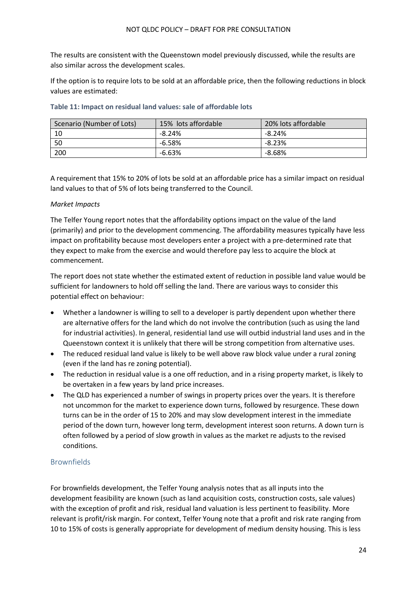The results are consistent with the Queenstown model previously discussed, while the results are also similar across the development scales.

If the option is to require lots to be sold at an affordable price, then the following reductions in block values are estimated:

| Scenario (Number of Lots) | 15% lots affordable | 20% lots affordable |
|---------------------------|---------------------|---------------------|
| 10                        | -8.24%              | -8.24%              |
| -50                       | $-6.58\%$           | $-8.23%$            |
| 200                       | $-6.63%$            | -8.68%              |

#### **Table 11: Impact on residual land values: sale of affordable lots**

A requirement that 15% to 20% of lots be sold at an affordable price has a similar impact on residual land values to that of 5% of lots being transferred to the Council.

#### *Market Impacts*

The Telfer Young report notes that the affordability options impact on the value of the land (primarily) and prior to the development commencing. The affordability measures typically have less impact on profitability because most developers enter a project with a pre-determined rate that they expect to make from the exercise and would therefore pay less to acquire the block at commencement.

The report does not state whether the estimated extent of reduction in possible land value would be sufficient for landowners to hold off selling the land. There are various ways to consider this potential effect on behaviour:

- Whether a landowner is willing to sell to a developer is partly dependent upon whether there are alternative offers for the land which do not involve the contribution (such as using the land for industrial activities). In general, residential land use will outbid industrial land uses and in the Queenstown context it is unlikely that there will be strong competition from alternative uses.
- The reduced residual land value is likely to be well above raw block value under a rural zoning (even if the land has re zoning potential).
- The reduction in residual value is a one off reduction, and in a rising property market, is likely to be overtaken in a few years by land price increases.
- The QLD has experienced a number of swings in property prices over the years. It is therefore not uncommon for the market to experience down turns, followed by resurgence. These down turns can be in the order of 15 to 20% and may slow development interest in the immediate period of the down turn, however long term, development interest soon returns. A down turn is often followed by a period of slow growth in values as the market re adjusts to the revised conditions.

#### <span id="page-23-0"></span>**Brownfields**

For brownfields development, the Telfer Young analysis notes that as all inputs into the development feasibility are known (such as land acquisition costs, construction costs, sale values) with the exception of profit and risk, residual land valuation is less pertinent to feasibility. More relevant is profit/risk margin. For context, Telfer Young note that a profit and risk rate ranging from 10 to 15% of costs is generally appropriate for development of medium density housing. This is less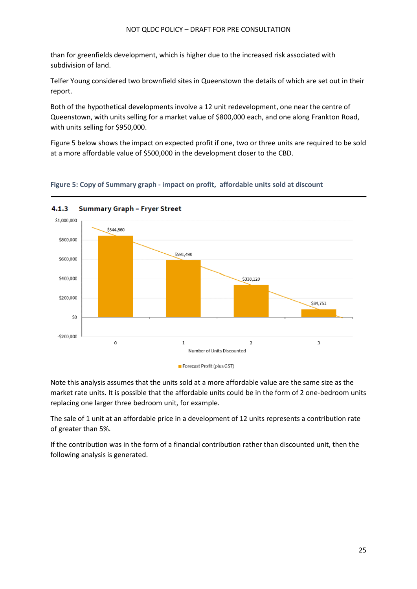than for greenfields development, which is higher due to the increased risk associated with subdivision of land.

Telfer Young considered two brownfield sites in Queenstown the details of which are set out in their report.

Both of the hypothetical developments involve a 12 unit redevelopment, one near the centre of Queenstown, with units selling for a market value of \$800,000 each, and one along Frankton Road, with units selling for \$950,000.

Figure 5 below shows the impact on expected profit if one, two or three units are required to be sold at a more affordable value of \$500,000 in the development closer to the CBD.

#### **Figure 5: Copy of Summary graph - impact on profit, affordable units sold at discount**



Note this analysis assumes that the units sold at a more affordable value are the same size as the market rate units. It is possible that the affordable units could be in the form of 2 one-bedroom units replacing one larger three bedroom unit, for example.

The sale of 1 unit at an affordable price in a development of 12 units represents a contribution rate of greater than 5%.

If the contribution was in the form of a financial contribution rather than discounted unit, then the following analysis is generated.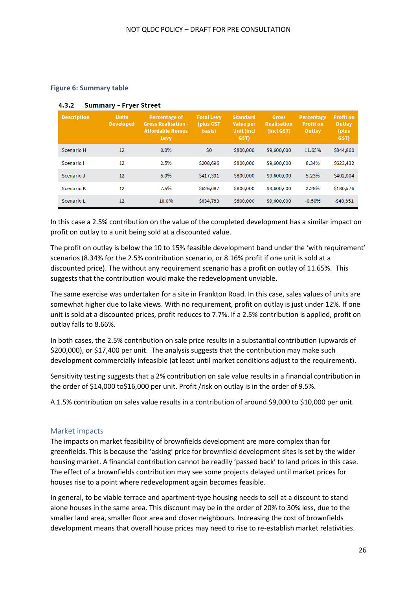#### **Figure 6: Summary table**

| <b>Description</b> | <b>Units</b><br><b>Developed</b> | <b>Percentage of</b><br><b>Gross Realisation -</b><br><b>Affordable Homes</b><br>Levy | <b>Total Levy</b><br>(plus GST)<br>basis) | <b>Standard</b><br>Value per<br><b>Unit (incl</b><br>GST) | <b>Gross</b><br><b>Realisation</b><br>(incl GST) | Percentage<br><b>Profit on</b><br>Outlay | <b>Profit on</b><br>Outlay<br>(plus)<br>GST) |
|--------------------|----------------------------------|---------------------------------------------------------------------------------------|-------------------------------------------|-----------------------------------------------------------|--------------------------------------------------|------------------------------------------|----------------------------------------------|
| <b>Scenario H</b>  | 12                               | 0.0%                                                                                  | \$0                                       | \$800,000                                                 | \$9,600,000                                      | 11.65%                                   | \$844,860                                    |
| Scenario I         | 12                               | 2.5%                                                                                  | \$208,696                                 | \$800,000                                                 | \$9,600,000                                      | 8.34%                                    | \$623,432                                    |
| Scenario J         | 12                               | 5.0%                                                                                  | \$417,391                                 | \$800,000                                                 | \$9,600,000                                      | 5.23%                                    | \$402,004                                    |
| <b>Scenario K</b>  | 12                               | 7.5%                                                                                  | \$626,087                                 | \$800,000                                                 | \$9,600,000                                      | 2.28%                                    | \$180,576                                    |
| Scenario L         | 12                               | 10.0%                                                                                 | \$834,783                                 | \$800,000                                                 | \$9,600,000                                      | $-0.50%$                                 | $-540,851$                                   |

#### 4.3.2 Summary - Fryer Street

In this case a 2.5% contribution on the value of the completed development has a similar impact on profit on outlay to a unit being sold at a discounted value.

The profit on outlay is below the 10 to 15% feasible development band under the 'with requirement' scenarios (8.34% for the 2.5% contribution scenario, or 8.16% profit if one unit is sold at a discounted price). The without any requirement scenario has a profit on outlay of 11.65%. This suggests that the contribution would make the redevelopment unviable.

The same exercise was undertaken for a site in Frankton Road. In this case, sales values of units are somewhat higher due to lake views. With no requirement, profit on outlay is just under 12%. If one unit is sold at a discounted prices, profit reduces to 7.7%. If a 2.5% contribution is applied, profit on outlay falls to 8.66%.

In both cases, the 2.5% contribution on sale price results in a substantial contribution (upwards of \$200,000), or \$17,400 per unit. The analysis suggests that the contribution may make such development commercially infeasible (at least until market conditions adjust to the requirement).

Sensitivity testing suggests that a 2% contribution on sale value results in a financial contribution in the order of \$14,000 to\$16,000 per unit. Profit /risk on outlay is in the order of 9.5%.

A 1.5% contribution on sales value results in a contribution of around \$9,000 to \$10,000 per unit.

#### <span id="page-25-0"></span>Market impacts

The impacts on market feasibility of brownfields development are more complex than for greenfields. This is because the 'asking' price for brownfield development sites is set by the wider housing market. A financial contribution cannot be readily 'passed back' to land prices in this case. The effect of a brownfields contribution may see some projects delayed until market prices for houses rise to a point where redevelopment again becomes feasible.

In general, to be viable terrace and apartment-type housing needs to sell at a discount to stand alone houses in the same area. This discount may be in the order of 20% to 30% less, due to the smaller land area, smaller floor area and closer neighbours. Increasing the cost of brownfields development means that overall house prices may need to rise to re-establish market relativities.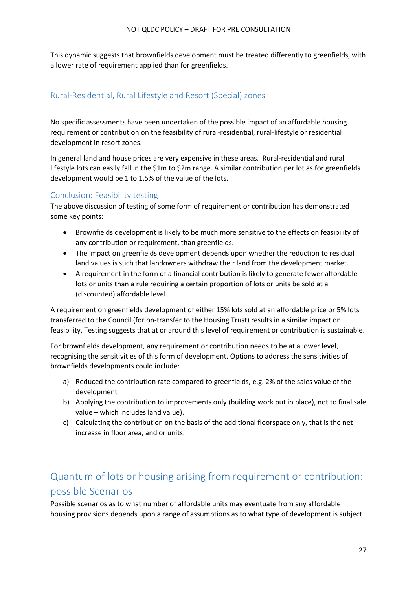This dynamic suggests that brownfields development must be treated differently to greenfields, with a lower rate of requirement applied than for greenfields.

### <span id="page-26-0"></span>Rural-Residential, Rural Lifestyle and Resort (Special) zones

No specific assessments have been undertaken of the possible impact of an affordable housing requirement or contribution on the feasibility of rural-residential, rural-lifestyle or residential development in resort zones.

In general land and house prices are very expensive in these areas. Rural-residential and rural lifestyle lots can easily fall in the \$1m to \$2m range. A similar contribution per lot as for greenfields development would be 1 to 1.5% of the value of the lots.

#### <span id="page-26-1"></span>Conclusion: Feasibility testing

The above discussion of testing of some form of requirement or contribution has demonstrated some key points:

- Brownfields development is likely to be much more sensitive to the effects on feasibility of any contribution or requirement, than greenfields.
- The impact on greenfields development depends upon whether the reduction to residual land values is such that landowners withdraw their land from the development market.
- A requirement in the form of a financial contribution is likely to generate fewer affordable lots or units than a rule requiring a certain proportion of lots or units be sold at a (discounted) affordable level.

A requirement on greenfields development of either 15% lots sold at an affordable price or 5% lots transferred to the Council (for on-transfer to the Housing Trust) results in a similar impact on feasibility. Testing suggests that at or around this level of requirement or contribution is sustainable.

For brownfields development, any requirement or contribution needs to be at a lower level, recognising the sensitivities of this form of development. Options to address the sensitivities of brownfields developments could include:

- a) Reduced the contribution rate compared to greenfields, e.g. 2% of the sales value of the development
- b) Applying the contribution to improvements only (building work put in place), not to final sale value – which includes land value).
- c) Calculating the contribution on the basis of the additional floorspace only, that is the net increase in floor area, and or units.

## <span id="page-26-2"></span>Quantum of lots or housing arising from requirement or contribution: possible Scenarios

Possible scenarios as to what number of affordable units may eventuate from any affordable housing provisions depends upon a range of assumptions as to what type of development is subject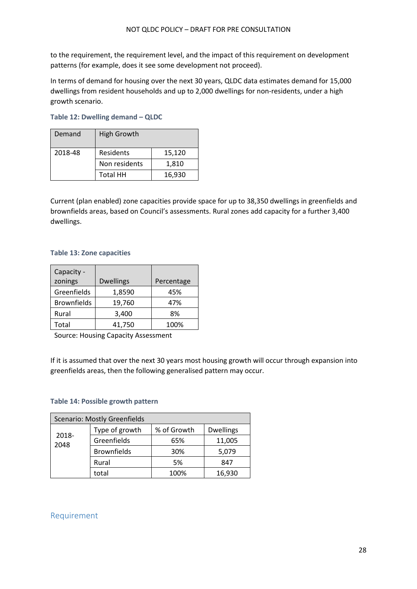to the requirement, the requirement level, and the impact of this requirement on development patterns (for example, does it see some development not proceed).

In terms of demand for housing over the next 30 years, QLDC data estimates demand for 15,000 dwellings from resident households and up to 2,000 dwellings for non-residents, under a high growth scenario.

| Demand  | <b>High Growth</b> |        |
|---------|--------------------|--------|
| 2018-48 | Residents          | 15,120 |
|         | Non residents      | 1,810  |
|         | <b>Total HH</b>    | 16,930 |

#### **Table 12: Dwelling demand – QLDC**

Current (plan enabled) zone capacities provide space for up to 38,350 dwellings in greenfields and brownfields areas, based on Council's assessments. Rural zones add capacity for a further 3,400 dwellings.

#### **Table 13: Zone capacities**

| Capacity -         |                  |            |
|--------------------|------------------|------------|
| zonings            | <b>Dwellings</b> | Percentage |
| Greenfields        | 1,8590           | 45%        |
| <b>Brownfields</b> | 19,760           | 47%        |
| Rural              | 3,400            | 8%         |
| Total              | 41,750           | 100%       |

Source: Housing Capacity Assessment

If it is assumed that over the next 30 years most housing growth will occur through expansion into greenfields areas, then the following generalised pattern may occur.

#### **Table 14: Possible growth pattern**

| <b>Scenario: Mostly Greenfields</b> |                    |             |                  |
|-------------------------------------|--------------------|-------------|------------------|
|                                     | Type of growth     | % of Growth | <b>Dwellings</b> |
| 2018-<br>2048                       | Greenfields        | 65%         | 11,005           |
|                                     | <b>Brownfields</b> | 30%         | 5,079            |
|                                     | Rural              | 5%          | 847              |
|                                     | total              | 100%        | 16,930           |

#### <span id="page-27-0"></span>Requirement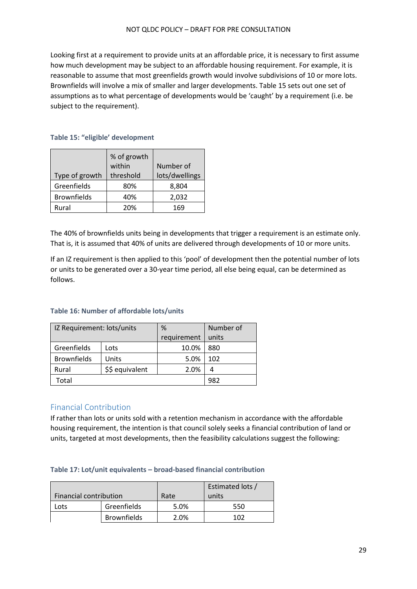Looking first at a requirement to provide units at an affordable price, it is necessary to first assume how much development may be subject to an affordable housing requirement. For example, it is reasonable to assume that most greenfields growth would involve subdivisions of 10 or more lots. Brownfields will involve a mix of smaller and larger developments. Table 15 sets out one set of assumptions as to what percentage of developments would be 'caught' by a requirement (i.e. be subject to the requirement).

#### **Table 15: "eligible' development**

|                    | % of growth<br>within | Number of      |
|--------------------|-----------------------|----------------|
| Type of growth     | threshold             | lots/dwellings |
| Greenfields        | 80%                   | 8,804          |
| <b>Brownfields</b> | 40%                   | 2,032          |
| Rural              | 20%                   | 169            |

The 40% of brownfields units being in developments that trigger a requirement is an estimate only. That is, it is assumed that 40% of units are delivered through developments of 10 or more units.

If an IZ requirement is then applied to this 'pool' of development then the potential number of lots or units to be generated over a 30-year time period, all else being equal, can be determined as follows.

#### **Table 16: Number of affordable lots/units**

| IZ Requirement: lots/units |                 | %           | Number of |
|----------------------------|-----------------|-------------|-----------|
|                            |                 | requirement | units     |
| Greenfields                | Lots            | 10.0%       | 880       |
| <b>Brownfields</b>         | Units           | 5.0%        | 102       |
| Rural                      | \$\$ equivalent | 2.0%        |           |
| Total                      |                 |             | 982       |

#### <span id="page-28-0"></span>Financial Contribution

If rather than lots or units sold with a retention mechanism in accordance with the affordable housing requirement, the intention is that council solely seeks a financial contribution of land or units, targeted at most developments, then the feasibility calculations suggest the following:

#### **Table 17: Lot/unit equivalents – broad-based financial contribution**

|                               |                    |      | Estimated lots / |
|-------------------------------|--------------------|------|------------------|
| <b>Financial contribution</b> |                    | Rate | units            |
| Lots                          | Greenfields        | 5.0% | 550              |
|                               | <b>Brownfields</b> | 2.0% | 1N)              |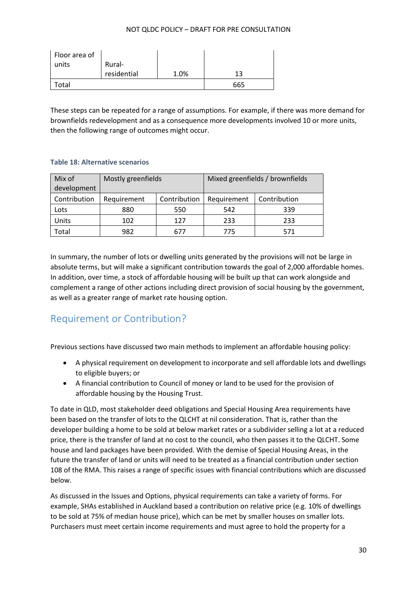| Floor area of |             |      |     |
|---------------|-------------|------|-----|
| units         | Rural-      |      |     |
|               | residential | 1.0% | 13  |
| cotal         |             |      | 665 |

These steps can be repeated for a range of assumptions. For example, if there was more demand for brownfields redevelopment and as a consequence more developments involved 10 or more units, then the following range of outcomes might occur.

#### **Table 18: Alternative scenarios**

| Mix of<br>development | Mostly greenfields |              |             | Mixed greenfields / brownfields |
|-----------------------|--------------------|--------------|-------------|---------------------------------|
| Contribution          | Requirement        | Contribution | Requirement | Contribution                    |
| Lots                  | 880                | 550          | 542         | 339                             |
| Units                 | 102                | 127          | 233         | 233                             |
| Total                 | 982                | 677          | 775         | 571                             |

In summary, the number of lots or dwelling units generated by the provisions will not be large in absolute terms, but will make a significant contribution towards the goal of 2,000 affordable homes. In addition, over time, a stock of affordable housing will be built up that can work alongside and complement a range of other actions including direct provision of social housing by the government, as well as a greater range of market rate housing option.

## <span id="page-29-0"></span>Requirement or Contribution?

Previous sections have discussed two main methods to implement an affordable housing policy:

- A physical requirement on development to incorporate and sell affordable lots and dwellings to eligible buyers; or
- A financial contribution to Council of money or land to be used for the provision of affordable housing by the Housing Trust.

To date in QLD, most stakeholder deed obligations and Special Housing Area requirements have been based on the transfer of lots to the QLCHT at nil consideration. That is, rather than the developer building a home to be sold at below market rates or a subdivider selling a lot at a reduced price, there is the transfer of land at no cost to the council, who then passes it to the QLCHT. Some house and land packages have been provided. With the demise of Special Housing Areas, in the future the transfer of land or units will need to be treated as a financial contribution under section 108 of the RMA. This raises a range of specific issues with financial contributions which are discussed below.

As discussed in the Issues and Options, physical requirements can take a variety of forms. For example, SHAs established in Auckland based a contribution on relative price (e.g. 10% of dwellings to be sold at 75% of median house price), which can be met by smaller houses on smaller lots. Purchasers must meet certain income requirements and must agree to hold the property for a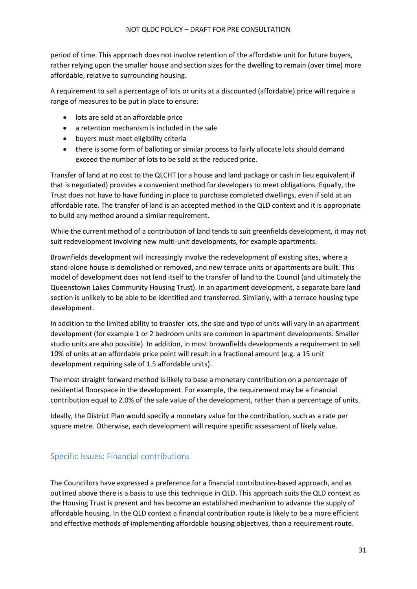period of time. This approach does not involve retention of the affordable unit for future buyers, rather relying upon the smaller house and section sizes for the dwelling to remain (over time) more affordable, relative to surrounding housing.

A requirement to sell a percentage of lots or units at a discounted (affordable) price will require a range of measures to be put in place to ensure:

- lots are sold at an affordable price
- a retention mechanism is included in the sale
- buyers must meet eligibility criteria
- there is some form of balloting or similar process to fairly allocate lots should demand exceed the number of lots to be sold at the reduced price.

Transfer of land at no cost to the QLCHT (or a house and land package or cash in lieu equivalent if that is negotiated) provides a convenient method for developers to meet obligations. Equally, the Trust does not have to have funding in place to purchase completed dwellings, even if sold at an affordable rate. The transfer of land is an accepted method in the QLD context and it is appropriate to build any method around a similar requirement.

While the current method of a contribution of land tends to suit greenfields development, it may not suit redevelopment involving new multi-unit developments, for example apartments.

Brownfields development will increasingly involve the redevelopment of existing sites, where a stand-alone house is demolished or removed, and new terrace units or apartments are built. This model of development does not lend itself to the transfer of land to the Council (and ultimately the Queenstown Lakes Community Housing Trust). In an apartment development, a separate bare land section is unlikely to be able to be identified and transferred. Similarly, with a terrace housing type development.

In addition to the limited ability to transfer lots, the size and type of units will vary in an apartment development (for example 1 or 2 bedroom units are common in apartment developments. Smaller studio units are also possible). In addition, in most brownfields developments a requirement to sell 10% of units at an affordable price point will result in a fractional amount (e.g. a 15 unit development requiring sale of 1.5 affordable units).

The most straight forward method is likely to base a monetary contribution on a percentage of residential floorspace in the development. For example, the requirement may be a financial contribution equal to 2.0% of the sale value of the development, rather than a percentage of units.

Ideally, the District Plan would specify a monetary value for the contribution, such as a rate per square metre. Otherwise, each development will require specific assessment of likely value.

## <span id="page-30-0"></span>Specific Issues: Financial contributions

The Councillors have expressed a preference for a financial contribution-based approach, and as outlined above there is a basis to use this technique in QLD. This approach suits the QLD context as the Housing Trust is present and has become an established mechanism to advance the supply of affordable housing. In the QLD context a financial contribution route is likely to be a more efficient and effective methods of implementing affordable housing objectives, than a requirement route.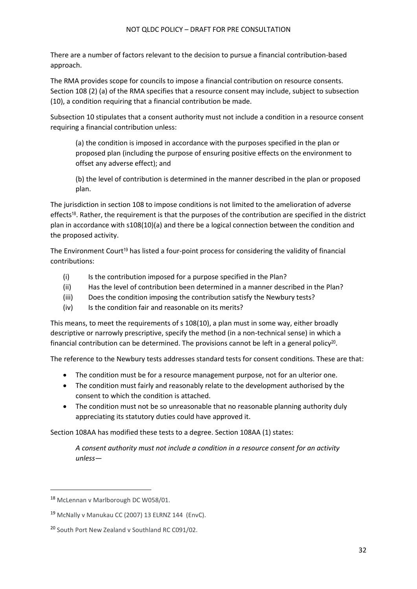There are a number of factors relevant to the decision to pursue a financial contribution-based approach.

The RMA provides scope for councils to impose a financial contribution on resource consents. Section 108 (2) (a) of the RMA specifies that a resource consent may include, subject to subsection (10), a condition requiring that a financial contribution be made.

Subsection 10 stipulates that a consent authority must not include a condition in a resource consent requiring a financial contribution unless:

(a) the condition is imposed in accordance with the purposes specified in the plan or proposed plan (including the purpose of ensuring positive effects on the environment to offset any adverse effect); and

(b) the level of contribution is determined in the manner described in the plan or proposed plan.

The jurisdiction in section 108 to impose conditions is not limited to the amelioration of adverse effects<sup>18</sup>. Rather, the requirement is that the purposes of the contribution are specified in the district plan in accordance with s108(10)(a) and there be a logical connection between the condition and the proposed activity.

The Environment Court<sup>19</sup> has listed a four-point process for considering the validity of financial contributions:

- (i) Is the contribution imposed for a purpose specified in the Plan?
- (ii) Has the level of contribution been determined in a manner described in the Plan?
- (iii) Does the condition imposing the contribution satisfy the Newbury tests?
- (iv) Is the condition fair and reasonable on its merits?

This means, to meet the requirements of s 108(10), a plan must in some way, either broadly descriptive or narrowly prescriptive, specify the method (in a non-technical sense) in which a financial contribution can be determined. The provisions cannot be left in a general policy<sup>20</sup>.

The reference to the Newbury tests addresses standard tests for consent conditions. These are that:

- The condition must be for a resource management purpose, not for an ulterior one.
- The condition must fairly and reasonably relate to the development authorised by the consent to which the condition is attached.
- The condition must not be so unreasonable that no reasonable planning authority duly appreciating its statutory duties could have approved it.

Section 108AA has modified these tests to a degree. Section 108AA (1) states:

*A consent authority must not include a condition in a resource consent for an activity unless—*

<sup>18</sup> McLennan v Marlborough DC W058/01.

<sup>19</sup> McNally v Manukau CC (2007) 13 ELRNZ 144 (EnvC).

<sup>&</sup>lt;sup>20</sup> South Port New Zealand v Southland RC C091/02.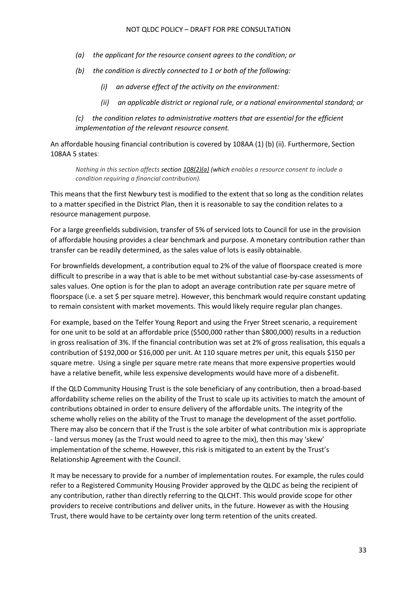- *(a) the applicant for the resource consent agrees to the condition; or*
- *(b) the condition is directly connected to 1 or both of the following:*
	- *(i) an adverse effect of the activity on the environment:*
	- *(ii) an applicable district or regional rule, or a national environmental standard; or*

*(c) the condition relates to administrative matters that are essential for the efficient implementation of the relevant resource consent.*

An affordable housing financial contribution is covered by 108AA (1) (b) (ii). Furthermore, Section 108AA 5 states:

*Nothing in this section affects section 108(2)(a) (which enables a resource consent to include a condition requiring a financial contribution).*

This means that the first Newbury test is modified to the extent that so long as the condition relates to a matter specified in the District Plan, then it is reasonable to say the condition relates to a resource management purpose.

For a large greenfields subdivision, transfer of 5% of serviced lots to Council for use in the provision of affordable housing provides a clear benchmark and purpose. A monetary contribution rather than transfer can be readily determined, as the sales value of lots is easily obtainable.

For brownfields development, a contribution equal to 2% of the value of floorspace created is more difficult to prescribe in a way that is able to be met without substantial case-by-case assessments of sales values. One option is for the plan to adopt an average contribution rate per square metre of floorspace (i.e. a set \$ per square metre). However, this benchmark would require constant updating to remain consistent with market movements. This would likely require regular plan changes.

For example, based on the Telfer Young Report and using the Fryer Street scenario, a requirement for one unit to be sold at an affordable price (\$500,000 rather than \$800,000) results in a reduction in gross realisation of 3%. If the financial contribution was set at 2% of gross realisation, this equals a contribution of \$192,000 or \$16,000 per unit. At 110 square metres per unit, this equals \$150 per square metre. Using a single per square metre rate means that more expensive properties would have a relative benefit, while less expensive developments would have more of a disbenefit.

If the QLD Community Housing Trust is the sole beneficiary of any contribution, then a broad-based affordability scheme relies on the ability of the Trust to scale up its activities to match the amount of contributions obtained in order to ensure delivery of the affordable units. The integrity of the scheme wholly relies on the ability of the Trust to manage the development of the asset portfolio. There may also be concern that if the Trust is the sole arbiter of what contribution mix is appropriate - land versus money (as the Trust would need to agree to the mix), then this may 'skew' implementation of the scheme. However, this risk is mitigated to an extent by the Trust's Relationship Agreement with the Council.

It may be necessary to provide for a number of implementation routes. For example, the rules could refer to a Registered Community Housing Provider approved by the QLDC as being the recipient of any contribution, rather than directly referring to the QLCHT. This would provide scope for other providers to receive contributions and deliver units, in the future. However as with the Housing Trust, there would have to be certainty over long term retention of the units created.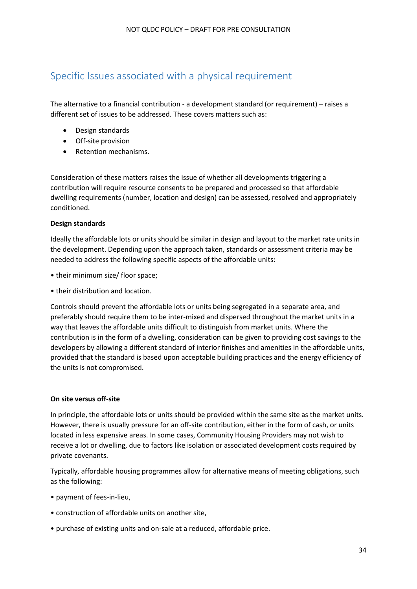## <span id="page-33-0"></span>Specific Issues associated with a physical requirement

The alternative to a financial contribution - a development standard (or requirement) – raises a different set of issues to be addressed. These covers matters such as:

- Design standards
- Off-site provision
- Retention mechanisms.

Consideration of these matters raises the issue of whether all developments triggering a contribution will require resource consents to be prepared and processed so that affordable dwelling requirements (number, location and design) can be assessed, resolved and appropriately conditioned.

#### **Design standards**

Ideally the affordable lots or units should be similar in design and layout to the market rate units in the development. Depending upon the approach taken, standards or assessment criteria may be needed to address the following specific aspects of the affordable units:

- their minimum size/ floor space;
- their distribution and location.

Controls should prevent the affordable lots or units being segregated in a separate area, and preferably should require them to be inter-mixed and dispersed throughout the market units in a way that leaves the affordable units difficult to distinguish from market units. Where the contribution is in the form of a dwelling, consideration can be given to providing cost savings to the developers by allowing a different standard of interior finishes and amenities in the affordable units, provided that the standard is based upon acceptable building practices and the energy efficiency of the units is not compromised.

#### **On site versus off-site**

In principle, the affordable lots or units should be provided within the same site as the market units. However, there is usually pressure for an off-site contribution, either in the form of cash, or units located in less expensive areas. In some cases, Community Housing Providers may not wish to receive a lot or dwelling, due to factors like isolation or associated development costs required by private covenants.

Typically, affordable housing programmes allow for alternative means of meeting obligations, such as the following:

- payment of fees-in-lieu,
- construction of affordable units on another site,
- purchase of existing units and on-sale at a reduced, affordable price.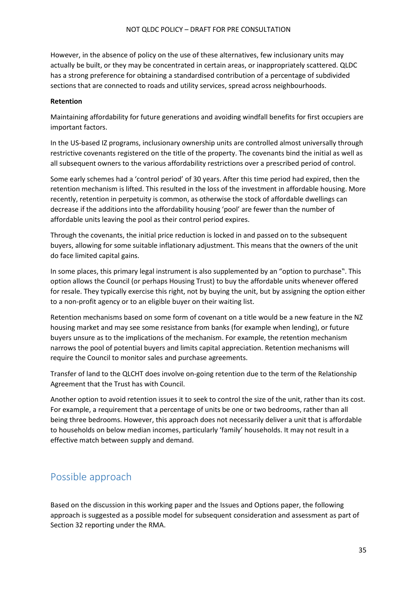However, in the absence of policy on the use of these alternatives, few inclusionary units may actually be built, or they may be concentrated in certain areas, or inappropriately scattered. QLDC has a strong preference for obtaining a standardised contribution of a percentage of subdivided sections that are connected to roads and utility services, spread across neighbourhoods.

#### **Retention**

Maintaining affordability for future generations and avoiding windfall benefits for first occupiers are important factors.

In the US-based IZ programs, inclusionary ownership units are controlled almost universally through restrictive covenants registered on the title of the property. The covenants bind the initial as well as all subsequent owners to the various affordability restrictions over a prescribed period of control.

Some early schemes had a 'control period' of 30 years. After this time period had expired, then the retention mechanism is lifted. This resulted in the loss of the investment in affordable housing. More recently, retention in perpetuity is common, as otherwise the stock of affordable dwellings can decrease if the additions into the affordability housing 'pool' are fewer than the number of affordable units leaving the pool as their control period expires.

Through the covenants, the initial price reduction is locked in and passed on to the subsequent buyers, allowing for some suitable inflationary adjustment. This means that the owners of the unit do face limited capital gains.

In some places, this primary legal instrument is also supplemented by an "option to purchase". This option allows the Council (or perhaps Housing Trust) to buy the affordable units whenever offered for resale. They typically exercise this right, not by buying the unit, but by assigning the option either to a non-profit agency or to an eligible buyer on their waiting list.

Retention mechanisms based on some form of covenant on a title would be a new feature in the NZ housing market and may see some resistance from banks (for example when lending), or future buyers unsure as to the implications of the mechanism. For example, the retention mechanism narrows the pool of potential buyers and limits capital appreciation. Retention mechanisms will require the Council to monitor sales and purchase agreements.

Transfer of land to the QLCHT does involve on-going retention due to the term of the Relationship Agreement that the Trust has with Council.

Another option to avoid retention issues it to seek to control the size of the unit, rather than its cost. For example, a requirement that a percentage of units be one or two bedrooms, rather than all being three bedrooms. However, this approach does not necessarily deliver a unit that is affordable to households on below median incomes, particularly 'family' households. It may not result in a effective match between supply and demand.

## <span id="page-34-0"></span>Possible approach

Based on the discussion in this working paper and the Issues and Options paper, the following approach is suggested as a possible model for subsequent consideration and assessment as part of Section 32 reporting under the RMA.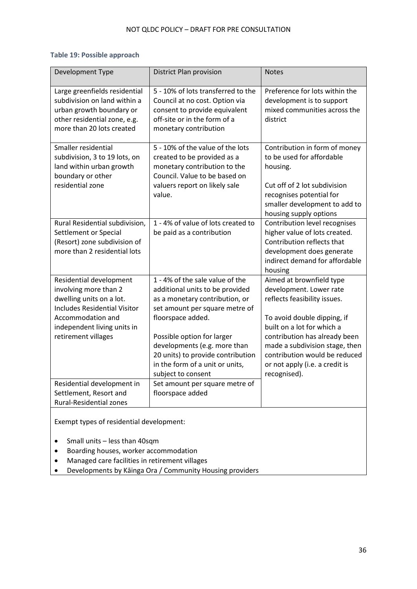### **Table 19: Possible approach**

| Development Type                                                                                                                                                                               | District Plan provision                                                                                                                                                                                                                                                                                                 | <b>Notes</b>                                                                                                                                                                                                                                                                                           |  |  |
|------------------------------------------------------------------------------------------------------------------------------------------------------------------------------------------------|-------------------------------------------------------------------------------------------------------------------------------------------------------------------------------------------------------------------------------------------------------------------------------------------------------------------------|--------------------------------------------------------------------------------------------------------------------------------------------------------------------------------------------------------------------------------------------------------------------------------------------------------|--|--|
| Large greenfields residential<br>subdivision on land within a<br>urban growth boundary or<br>other residential zone, e.g.<br>more than 20 lots created                                         | 5 - 10% of lots transferred to the<br>Council at no cost. Option via<br>consent to provide equivalent<br>off-site or in the form of a<br>monetary contribution                                                                                                                                                          | Preference for lots within the<br>development is to support<br>mixed communities across the<br>district                                                                                                                                                                                                |  |  |
| Smaller residential<br>subdivision, 3 to 19 lots, on<br>land within urban growth<br>boundary or other<br>residential zone                                                                      | 5 - 10% of the value of the lots<br>created to be provided as a<br>monetary contribution to the<br>Council. Value to be based on<br>valuers report on likely sale<br>value.                                                                                                                                             | Contribution in form of money<br>to be used for affordable<br>housing.<br>Cut off of 2 lot subdivision<br>recognises potential for<br>smaller development to add to<br>housing supply options                                                                                                          |  |  |
| Rural Residential subdivision,<br>Settlement or Special<br>(Resort) zone subdivision of<br>more than 2 residential lots                                                                        | 1 - 4% of value of lots created to<br>be paid as a contribution                                                                                                                                                                                                                                                         | Contribution level recognises<br>higher value of lots created.<br>Contribution reflects that<br>development does generate<br>indirect demand for affordable<br>housing                                                                                                                                 |  |  |
| Residential development<br>involving more than 2<br>dwelling units on a lot.<br><b>Includes Residential Visitor</b><br>Accommodation and<br>independent living units in<br>retirement villages | 1 - 4% of the sale value of the<br>additional units to be provided<br>as a monetary contribution, or<br>set amount per square metre of<br>floorspace added.<br>Possible option for larger<br>developments (e.g. more than<br>20 units) to provide contribution<br>in the form of a unit or units,<br>subject to consent | Aimed at brownfield type<br>development. Lower rate<br>reflects feasibility issues.<br>To avoid double dipping, if<br>built on a lot for which a<br>contribution has already been<br>made a subdivision stage, then<br>contribution would be reduced<br>or not apply (i.e. a credit is<br>recognised). |  |  |
| Residential development in<br>Settlement, Resort and<br><b>Rural-Residential zones</b>                                                                                                         | Set amount per square metre of<br>floorspace added                                                                                                                                                                                                                                                                      |                                                                                                                                                                                                                                                                                                        |  |  |
| Exempt types of residential development:                                                                                                                                                       |                                                                                                                                                                                                                                                                                                                         |                                                                                                                                                                                                                                                                                                        |  |  |

- Small units less than 40sqm
- Boarding houses, worker accommodation
- Managed care facilities in retirement villages
- Developments by Kāinga Ora / Community Housing providers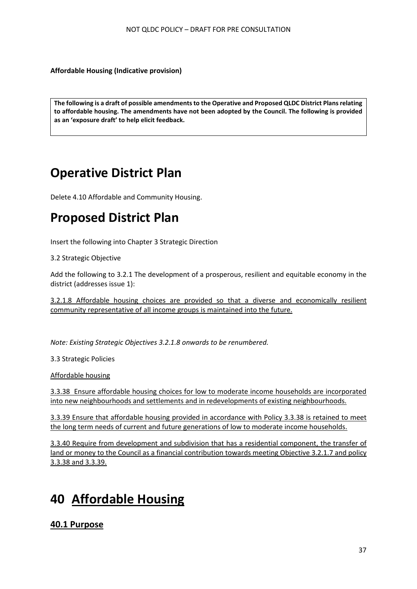**Affordable Housing (Indicative provision)**

```
The following is a draft of possible amendments to the Operative and Proposed QLDC District Plans relating 
to affordable housing. The amendments have not been adopted by the Council. The following is provided 
as an 'exposure draft' to help elicit feedback.
```
# **Operative District Plan**

Delete 4.10 Affordable and Community Housing.

# **Proposed District Plan**

Insert the following into Chapter 3 Strategic Direction

3.2 Strategic Objective

Add the following to 3.2.1 The development of a prosperous, resilient and equitable economy in the district (addresses issue 1):

3.2.1.8 Affordable housing choices are provided so that a diverse and economically resilient community representative of all income groups is maintained into the future.

*Note: Existing Strategic Objectives 3.2.1.8 onwards to be renumbered.* 

3.3 Strategic Policies

Affordable housing

3.3.38 Ensure affordable housing choices for low to moderate income households are incorporated into new neighbourhoods and settlements and in redevelopments of existing neighbourhoods.

3.3.39 Ensure that affordable housing provided in accordance with Policy 3.3.38 is retained to meet the long term needs of current and future generations of low to moderate income households.

3.3.40 Require from development and subdivision that has a residential component, the transfer of land or money to the Council as a financial contribution towards meeting Objective 3.2.1.7 and policy 3.3.38 and 3.3.39.

# **40 Affordable Housing**

**40.1 Purpose**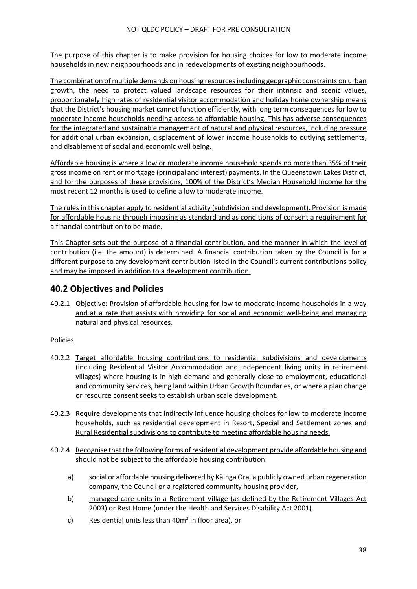The purpose of this chapter is to make provision for housing choices for low to moderate income households in new neighbourhoods and in redevelopments of existing neighbourhoods.

The combination of multiple demands on housing resources including geographic constraints on urban growth, the need to protect valued landscape resources for their intrinsic and scenic values, proportionately high rates of residential visitor accommodation and holiday home ownership means that the District's housing market cannot function efficiently, with long term consequences for low to moderate income households needing access to affordable housing*.* This has adverse consequences for the integrated and sustainable management of natural and physical resources, including pressure for additional urban expansion, displacement of lower income households to outlying settlements, and disablement of social and economic well being.

Affordable housing is where a low or moderate income household spends no more than 35% of their gross income on rent or mortgage (principal and interest) payments. In the Queenstown Lakes District, and for the purposes of these provisions, 100% of the District's Median Household Income for the most recent 12 months is used to define a low to moderate income.

The rules in this chapter apply to residential activity (subdivision and development). Provision is made for affordable housing through imposing as standard and as conditions of consent a requirement for a financial contribution to be made.

This Chapter sets out the purpose of a financial contribution, and the manner in which the level of contribution (i.e. the amount) is determined. A financial contribution taken by the Council is for a different purpose to any development contribution listed in the Council's current contributions policy and may be imposed in addition to a development contribution.

## **40.2 Objectives and Policies**

40.2.1 Objective: Provision of affordable housing for low to moderate income households in a way and at a rate that assists with providing for social and economic well-being and managing natural and physical resources.

### **Policies**

- 40.2.2 Target affordable housing contributions to residential subdivisions and developments (including Residential Visitor Accommodation and independent living units in retirement villages) where housing is in high demand and generally close to employment, educational and community services, being land within Urban Growth Boundaries, or where a plan change or resource consent seeks to establish urban scale development.
- 40.2.3 Require developments that indirectly influence housing choices for low to moderate income households, such as residential development in Resort, Special and Settlement zones and Rural Residential subdivisions to contribute to meeting affordable housing needs.
- 40.2.4 Recognise that the following forms of residential development provide affordable housing and should not be subject to the affordable housing contribution:
	- a) social or affordable housing delivered by Kāinga Ora, a publicly owned urban regeneration company, the Council or a registered community housing provider,
	- b) managed care units in a Retirement Village (as defined by the Retirement Villages Act 2003) or Rest Home (under the Health and Services Disability Act 2001)
	- c) Residential units less than 40m<sup>2</sup> in floor area), or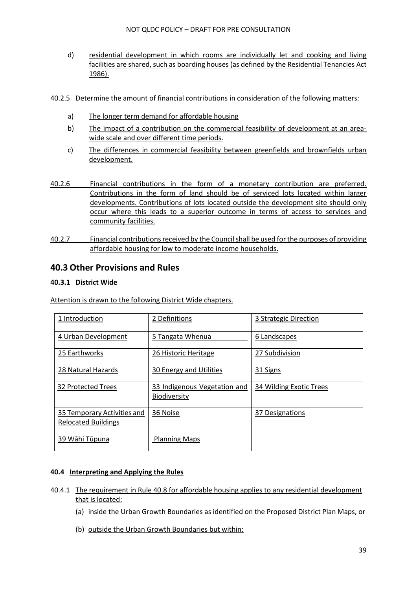- d) residential development in which rooms are individually let and cooking and living facilities are shared, such as boarding houses (as defined by the Residential Tenancies Act 1986).
- 40.2.5 Determine the amount of financial contributions in consideration of the following matters:
	- a) The longer term demand for affordable housing
	- b) The impact of a contribution on the commercial feasibility of development at an areawide scale and over different time periods.
	- c) The differences in commercial feasibility between greenfields and brownfields urban development.
- 40.2.6 Financial contributions in the form of a monetary contribution are preferred. Contributions in the form of land should be of serviced lots located within larger developments. Contributions of lots located outside the development site should only occur where this leads to a superior outcome in terms of access to services and community facilities.
- 40.2.7 Financial contributions received by the Council shall be used for the purposes of providing affordable housing for low to moderate income households.

#### **40.3 Other Provisions and Rules**

#### **40.3.1 District Wide**

Attention is drawn to the following District Wide chapters.

| 1 Introduction                                            | 2 Definitions                                       | 3 Strategic Direction   |
|-----------------------------------------------------------|-----------------------------------------------------|-------------------------|
| 4 Urban Development                                       | 5 Tangata Whenua                                    | 6 Landscapes            |
| 25 Earthworks                                             | 26 Historic Heritage                                | 27 Subdivision          |
| 28 Natural Hazards                                        | 30 Energy and Utilities                             | 31 Signs                |
| 32 Protected Trees                                        | 33 Indigenous Vegetation and<br><b>Biodiversity</b> | 34 Wilding Exotic Trees |
| 35 Temporary Activities and<br><b>Relocated Buildings</b> | 36 Noise                                            | 37 Designations         |
| 39 Wāhi Tūpuna                                            | <b>Planning Maps</b>                                |                         |

#### **40.4 Interpreting and Applying the Rules**

- 40.4.1 The requirement in Rule 40.8 for affordable housing applies to any residential development that is located:
	- (a) inside the Urban Growth Boundaries as identified on the Proposed District Plan Maps, or
	- (b) outside the Urban Growth Boundaries but within: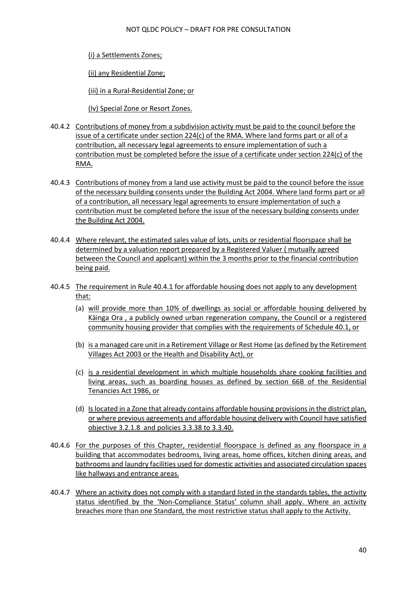(i) a Settlements Zones;

(ii) any Residential Zone;

(iii) in a Rural-Residential Zone; or

(Iv) Special Zone or Resort Zones.

- 40.4.2 Contributions of money from a subdivision activity must be paid to the council before the issue of a certificate under section 224(c) of the RMA. Where land forms part or all of a contribution, all necessary legal agreements to ensure implementation of such a contribution must be completed before the issue of a certificate under section 224(c) of the RMA.
- 40.4.3 Contributions of money from a land use activity must be paid to the council before the issue of the necessary building consents under the Building Act 2004. Where land forms part or all of a contribution, all necessary legal agreements to ensure implementation of such a contribution must be completed before the issue of the necessary building consents under the Building Act 2004.
- 40.4.4 Where relevant, the estimated sales value of lots, units or residential floorspace shall be determined by a valuation report prepared by a Registered Valuer ( mutually agreed between the Council and applicant) within the 3 months prior to the financial contribution being paid.
- 40.4.5 The requirement in Rule 40.4.1 for affordable housing does not apply to any development that:
	- (a) will provide more than 10% of dwellings as social or affordable housing delivered by Kāinga Ora , a publicly owned urban regeneration company, the Council or a registered community housing provider that complies with the requirements of Schedule 40.1, or
	- (b) is a managed care unit in a Retirement Village or Rest Home (as defined by the Retirement Villages Act 2003 or the Health and Disability Act), or
	- (c) is a residential development in which multiple households share cooking facilities and living areas, such as boarding houses as defined by section 66B of the Residential Tenancies Act 1986, or
	- (d) Is located in a Zone that already contains affordable housing provisions in the district plan, or where previous agreements and affordable housing delivery with Council have satisfied objective 3.2.1.8 and policies 3.3.38 to 3.3.40.
- 40.4.6 For the purposes of this Chapter, residential floorspace is defined as any floorspace in a building that accommodates bedrooms, living areas, home offices, kitchen dining areas, and bathrooms and laundry facilities used for domestic activities and associated circulation spaces like hallways and entrance areas.
- 40.4.7 Where an activity does not comply with a standard listed in the standards tables, the activity status identified by the 'Non-Compliance Status' column shall apply. Where an activity breaches more than one Standard, the most restrictive status shall apply to the Activity.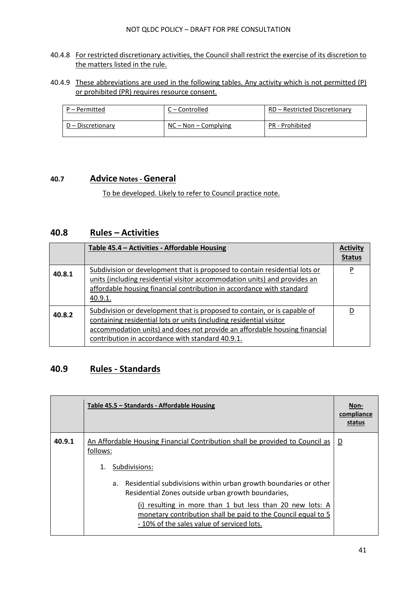#### 40.4.8 For restricted discretionary activities, the Council shall restrict the exercise of its discretion to the matters listed in the rule.

40.4.9 These abbreviations are used in the following tables. Any activity which is not permitted (P) or prohibited (PR) requires resource consent.

| P – Permitted     | C – Controlled         | RD - Restricted Discretionary |
|-------------------|------------------------|-------------------------------|
| D – Discretionary | $NC - Non - Complying$ | PR - Prohibited               |

### **40.7 Advice Notes - General**

To be developed. Likely to refer to Council practice note.

## **40.8 Rules – Activities**

|        | Table 45.4 - Activities - Affordable Housing                                                                                                                                                                                                                                     | <b>Activity</b><br><b>Status</b> |
|--------|----------------------------------------------------------------------------------------------------------------------------------------------------------------------------------------------------------------------------------------------------------------------------------|----------------------------------|
| 40.8.1 | Subdivision or development that is proposed to contain residential lots or<br>units (including residential visitor accommodation units) and provides an<br>affordable housing financial contribution in accordance with standard<br>40.9.1.                                      | P                                |
| 40.8.2 | Subdivision or development that is proposed to contain, or is capable of<br>containing residential lots or units (including residential visitor<br>accommodation units) and does not provide an affordable housing financial<br>contribution in accordance with standard 40.9.1. | D                                |

## **40.9 Rules - Standards**

|        | Table 45.5 – Standards - Affordable Housing                                                                                                                              | Non-<br>compliance<br>status |
|--------|--------------------------------------------------------------------------------------------------------------------------------------------------------------------------|------------------------------|
| 40.9.1 | An Affordable Housing Financial Contribution shall be provided to Council as<br>follows:                                                                                 | $\overline{\mathsf{D}}$      |
|        | Subdivisions:<br>1.                                                                                                                                                      |                              |
|        | Residential subdivisions within urban growth boundaries or other<br>а.<br>Residential Zones outside urban growth boundaries,                                             |                              |
|        | (i) resulting in more than 1 but less than 20 new lots: A<br>monetary contribution shall be paid to the Council equal to 5<br>- 10% of the sales value of serviced lots. |                              |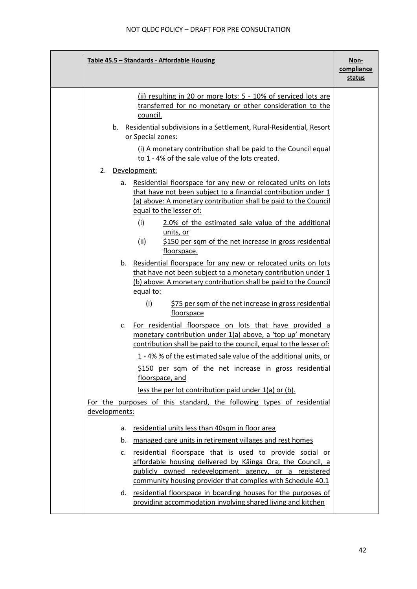| Table 45.5 - Standards - Affordable Housing                                                                                                                                                                                                         | Non-<br>compliance<br>status |
|-----------------------------------------------------------------------------------------------------------------------------------------------------------------------------------------------------------------------------------------------------|------------------------------|
| (ii) resulting in 20 or more lots: 5 - 10% of serviced lots are<br>transferred for no monetary or other consideration to the<br>council.                                                                                                            |                              |
| b. Residential subdivisions in a Settlement, Rural-Residential, Resort<br>or Special zones:                                                                                                                                                         |                              |
| (i) A monetary contribution shall be paid to the Council equal<br>to 1 - 4% of the sale value of the lots created.                                                                                                                                  |                              |
| Development:<br>2.                                                                                                                                                                                                                                  |                              |
| Residential floorspace for any new or relocated units on lots<br>a.<br>that have not been subject to a financial contribution under 1<br>(a) above: A monetary contribution shall be paid to the Council<br>equal to the lesser of:                 |                              |
| (i)<br>2.0% of the estimated sale value of the additional<br>units, or<br>(ii)<br>\$150 per sqm of the net increase in gross residential<br>floorspace.                                                                                             |                              |
| b. Residential floorspace for any new or relocated units on lots<br>that have not been subject to a monetary contribution under 1<br>(b) above: A monetary contribution shall be paid to the Council<br>equal to:                                   |                              |
| (i)<br>\$75 per sqm of the net increase in gross residential<br>floorspace                                                                                                                                                                          |                              |
| For residential floorspace on lots that have provided a<br>c.<br>monetary contribution under 1(a) above, a 'top up' monetary<br>contribution shall be paid to the council, equal to the lesser of:                                                  |                              |
| 1 - 4% % of the estimated sale value of the additional units, or<br>\$150 per sqm of the net increase in gross residential<br>floorspace, and                                                                                                       |                              |
| less the per lot contribution paid under 1(a) or (b).                                                                                                                                                                                               |                              |
| For the purposes of this standard, the following types of residential<br>developments:                                                                                                                                                              |                              |
| residential units less than 40sqm in floor area<br>a.                                                                                                                                                                                               |                              |
| managed care units in retirement villages and rest homes<br>b.                                                                                                                                                                                      |                              |
| residential floorspace that is used to provide social or<br>c.<br>affordable housing delivered by Kainga Ora, the Council, a<br>publicly owned redevelopment agency, or a registered<br>community housing provider that complies with Schedule 40.1 |                              |
| d. residential floorspace in boarding houses for the purposes of<br>providing accommodation involving shared living and kitchen                                                                                                                     |                              |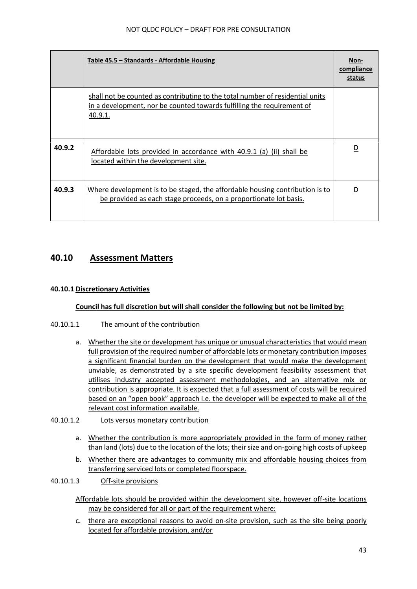|        | Table 45.5 – Standards - Affordable Housing                                                                                                                        | Non-<br>compliance<br>status |
|--------|--------------------------------------------------------------------------------------------------------------------------------------------------------------------|------------------------------|
|        | shall not be counted as contributing to the total number of residential units<br>in a development, nor be counted towards fulfilling the requirement of<br>40.9.1. |                              |
| 40.9.2 | Affordable lots provided in accordance with 40.9.1 (a) (ii) shall be<br>located within the development site.                                                       | D                            |
| 40.9.3 | Where development is to be staged, the affordable housing contribution is to<br>be provided as each stage proceeds, on a proportionate lot basis.                  | D                            |

## **40.10 Assessment Matters**

#### **40.10.1 Discretionary Activities**

#### **Council has full discretion but will shall consider the following but not be limited by:**

#### 40.10.1.1 The amount of the contribution

- a. Whether the site or development has unique or unusual characteristics that would mean full provision of the required number of affordable lots or monetary contribution imposes a significant financial burden on the development that would make the development unviable, as demonstrated by a site specific development feasibility assessment that utilises industry accepted assessment methodologies, and an alternative mix or contribution is appropriate. It is expected that a full assessment of costs will be required based on an "open book" approach i.e. the developer will be expected to make all of the relevant cost information available.
- 40.10.1.2 Lots versus monetary contribution
	- a. Whether the contribution is more appropriately provided in the form of money rather than land (lots) due to the location of the lots; their size and on-going high costs of upkeep
	- b. Whether there are advantages to community mix and affordable housing choices from transferring serviced lots or completed floorspace.

#### 40.10.1.3 Off-site provisions

Affordable lots should be provided within the development site, however off-site locations may be considered for all or part of the requirement where:

c. there are exceptional reasons to avoid on-site provision, such as the site being poorly located for affordable provision, and/or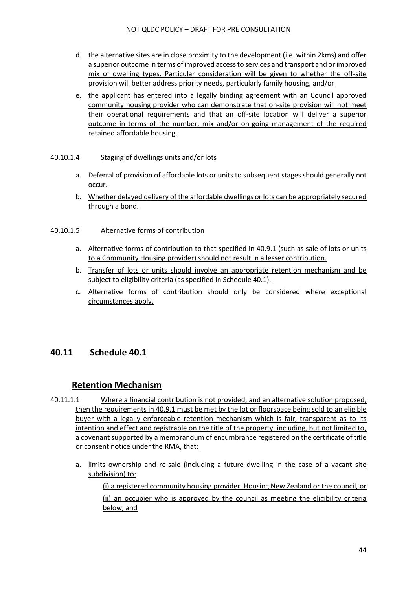- d. the alternative sites are in close proximity to the development (i.e. within 2kms) and offer a superior outcome in terms of improved access to services and transport and or improved mix of dwelling types. Particular consideration will be given to whether the off-site provision will better address priority needs, particularly family housing, and/or
- e. the applicant has entered into a legally binding agreement with an Council approved community housing provider who can demonstrate that on-site provision will not meet their operational requirements and that an off-site location will deliver a superior outcome in terms of the number, mix and/or on-going management of the required retained affordable housing.

#### 40.10.1.4 Staging of dwellings units and/or lots

- a. Deferral of provision of affordable lots or units to subsequent stages should generally not occur.
- b. Whether delayed delivery of the affordable dwellings or lots can be appropriately secured through a bond.

#### 40.10.1.5 Alternative forms of contribution

- a. Alternative forms of contribution to that specified in 40.9.1 (such as sale of lots or units to a Community Housing provider) should not result in a lesser contribution.
- b. Transfer of lots or units should involve an appropriate retention mechanism and be subject to eligibility criteria (as specified in Schedule 40.1).
- c. Alternative forms of contribution should only be considered where exceptional circumstances apply.

## **40.11 Schedule 40.1**

## **Retention Mechanism**

- 40.11.1.1 Where a financial contribution is not provided, and an alternative solution proposed, then the requirements in 40.9.1 must be met by the lot or floorspace being sold to an eligible buyer with a legally enforceable retention mechanism which is fair, transparent as to its intention and effect and registrable on the title of the property, including, but not limited to, a covenant supported by a memorandum of encumbrance registered on the certificate of title or consent notice under the RMA, that:
	- a. limits ownership and re-sale (including a future dwelling in the case of a vacant site subdivision) to:

(i) a registered community housing provider, Housing New Zealand or the council, or (ii) an occupier who is approved by the council as meeting the eligibility criteria below, and